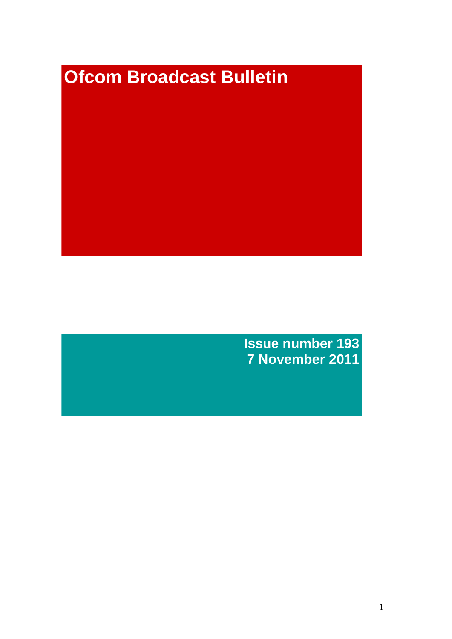# **Ofcom Broadcast Bulletin**

**Issue number 193 7 November 2011**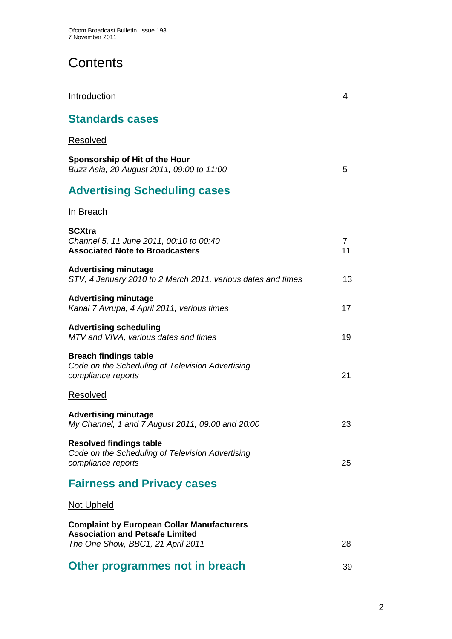# **Contents**

**Standards cases** Resolved **Sponsorship of Hit of the Hour** *Buzz Asia, 20 August 2011, 09:00 to 11:00* 5 **Advertising Scheduling cases** In Breach **SCXtra** *Channel 5, 11 June 2011, 00:10 to 00:40* 7 **Associated Note to Broadcasters** 11 **Advertising minutage**  *STV, 4 January 2010 to 2 March 2011, various dates and times* 13 **Advertising minutage** *Kanal 7 Avrupa, 4 April 2011, various times* 17 **Advertising scheduling** *MTV and VIVA, various dates and times* 19 **Breach findings table** *Code on the Scheduling of Television Advertising compliance reports* 21 Resolved **Advertising minutage** *My Channel, 1 and 7 August 2011, 09:00 and 20:00* 23 **Resolved findings table** *Code on the Scheduling of Television Advertising compliance reports* 25 **Fairness and Privacy cases** Not Upheld **Complaint by European Collar Manufacturers Association and Petsafe Limited**  *The One Show, BBC1, 21 April 2011* 28

Introduction 4

## **Other programmes not in breach** 39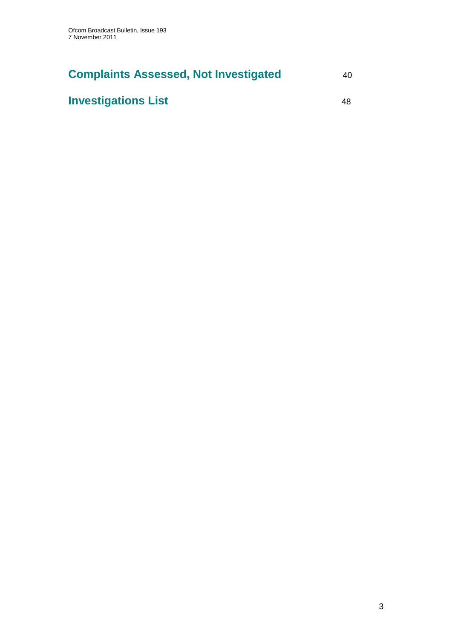# **Complaints Assessed, Not Investigated** 40

# **Investigations List** 48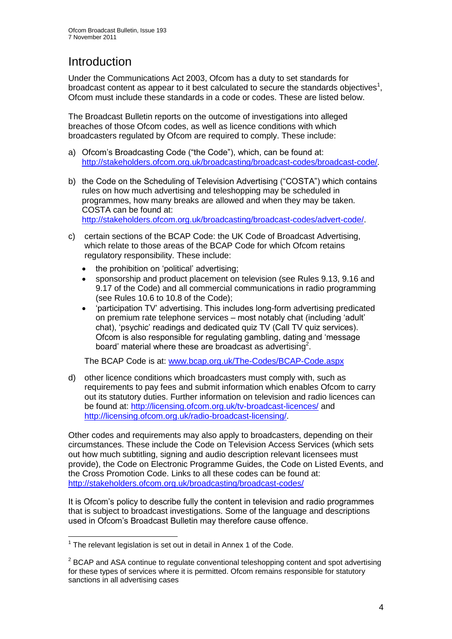# **Introduction**

Under the Communications Act 2003, Ofcom has a duty to set standards for broadcast content as appear to it best calculated to secure the standards objectives<sup>1</sup>, Ofcom must include these standards in a code or codes. These are listed below.

The Broadcast Bulletin reports on the outcome of investigations into alleged breaches of those Ofcom codes, as well as licence conditions with which broadcasters regulated by Ofcom are required to comply. These include:

- a) Ofcom"s Broadcasting Code ("the Code"), which, can be found at: [http://stakeholders.ofcom.org.uk/broadcasting/broadcast-codes/broadcast-code/.](http://stakeholders.ofcom.org.uk/broadcasting/broadcast-codes/broadcast-code/)
- b) the Code on the Scheduling of Television Advertising ("COSTA") which contains rules on how much advertising and teleshopping may be scheduled in programmes, how many breaks are allowed and when they may be taken. COSTA can be found at: [http://stakeholders.ofcom.org.uk/broadcasting/broadcast-codes/advert-code/.](http://stakeholders.ofcom.org.uk/broadcasting/broadcast-codes/advert-code/)

c) certain sections of the BCAP Code: the UK Code of Broadcast Advertising, which relate to those areas of the BCAP Code for which Ofcom retains regulatory responsibility. These include:

- the prohibition on "political" advertising;
- sponsorship and product placement on television (see Rules 9.13, 9.16 and 9.17 of the Code) and all commercial communications in radio programming (see Rules 10.6 to 10.8 of the Code);
- "participation TV" advertising. This includes long-form advertising predicated on premium rate telephone services – most notably chat (including "adult" chat), "psychic" readings and dedicated quiz TV (Call TV quiz services). Ofcom is also responsible for regulating gambling, dating and "message board' material where these are broadcast as advertising<sup>2</sup>.

The BCAP Code is at: [www.bcap.org.uk/The-Codes/BCAP-Code.aspx](http://www.bcap.org.uk/The-Codes/BCAP-Code.aspx)

d) other licence conditions which broadcasters must comply with, such as requirements to pay fees and submit information which enables Ofcom to carry out its statutory duties. Further information on television and radio licences can be found at:<http://licensing.ofcom.org.uk/tv-broadcast-licences/> and [http://licensing.ofcom.org.uk/radio-broadcast-licensing/.](http://licensing.ofcom.org.uk/radio-broadcast-licensing/)

Other codes and requirements may also apply to broadcasters, depending on their circumstances. These include the Code on Television Access Services (which sets out how much subtitling, signing and audio description relevant licensees must provide), the Code on Electronic Programme Guides, the Code on Listed Events, and the Cross Promotion Code. Links to all these codes can be found at: <http://stakeholders.ofcom.org.uk/broadcasting/broadcast-codes/>

It is Ofcom"s policy to describe fully the content in television and radio programmes that is subject to broadcast investigations. Some of the language and descriptions used in Ofcom"s Broadcast Bulletin may therefore cause offence.

<sup>1</sup>  $1$  The relevant legislation is set out in detail in Annex 1 of the Code.

 $2$  BCAP and ASA continue to regulate conventional teleshopping content and spot advertising for these types of services where it is permitted. Ofcom remains responsible for statutory sanctions in all advertising cases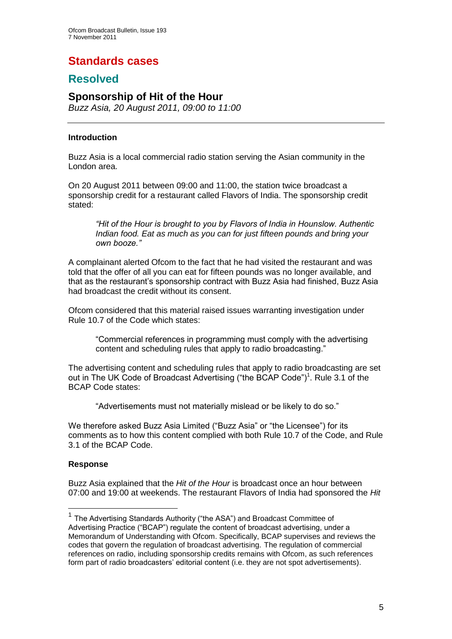# **Standards cases**

## **Resolved**

## **Sponsorship of Hit of the Hour**

*Buzz Asia, 20 August 2011, 09:00 to 11:00*

#### **Introduction**

Buzz Asia is a local commercial radio station serving the Asian community in the London area.

On 20 August 2011 between 09:00 and 11:00, the station twice broadcast a sponsorship credit for a restaurant called Flavors of India. The sponsorship credit stated:

*"Hit of the Hour is brought to you by Flavors of India in Hounslow. Authentic Indian food. Eat as much as you can for just fifteen pounds and bring your own booze."* 

A complainant alerted Ofcom to the fact that he had visited the restaurant and was told that the offer of all you can eat for fifteen pounds was no longer available, and that as the restaurant"s sponsorship contract with Buzz Asia had finished, Buzz Asia had broadcast the credit without its consent.

Ofcom considered that this material raised issues warranting investigation under Rule 10.7 of the Code which states:

"Commercial references in programming must comply with the advertising content and scheduling rules that apply to radio broadcasting."

The advertising content and scheduling rules that apply to radio broadcasting are set out in The UK Code of Broadcast Advertising ("the BCAP Code")<sup>1</sup>. Rule 3.1 of the BCAP Code states:

"Advertisements must not materially mislead or be likely to do so."

We therefore asked Buzz Asia Limited ("Buzz Asia" or "the Licensee") for its comments as to how this content complied with both Rule 10.7 of the Code, and Rule 3.1 of the BCAP Code.

#### **Response**

1

Buzz Asia explained that the *Hit of the Hour* is broadcast once an hour between 07:00 and 19:00 at weekends. The restaurant Flavors of India had sponsored the *Hit* 

<sup>&</sup>lt;sup>1</sup> The Advertising Standards Authority ("the ASA") and Broadcast Committee of Advertising Practice ("BCAP") regulate the content of broadcast advertising, under a Memorandum of Understanding with Ofcom. Specifically, BCAP supervises and reviews the codes that govern the regulation of broadcast advertising. The regulation of commercial references on radio, including sponsorship credits remains with Ofcom, as such references form part of radio broadcasters" editorial content (i.e. they are not spot advertisements).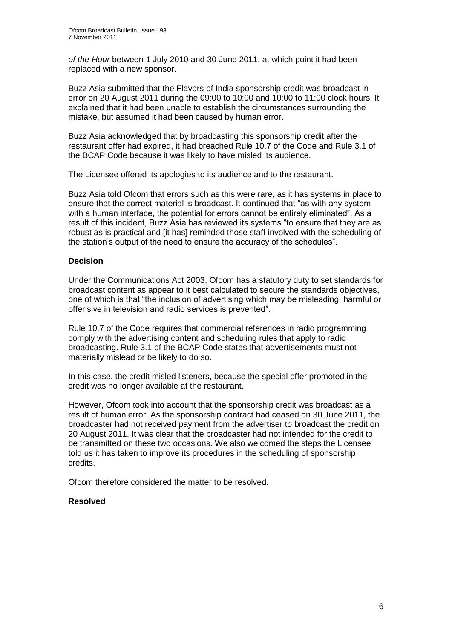*of the Hour* between 1 July 2010 and 30 June 2011, at which point it had been replaced with a new sponsor.

Buzz Asia submitted that the Flavors of India sponsorship credit was broadcast in error on 20 August 2011 during the 09:00 to 10:00 and 10:00 to 11:00 clock hours. It explained that it had been unable to establish the circumstances surrounding the mistake, but assumed it had been caused by human error.

Buzz Asia acknowledged that by broadcasting this sponsorship credit after the restaurant offer had expired, it had breached Rule 10.7 of the Code and Rule 3.1 of the BCAP Code because it was likely to have misled its audience.

The Licensee offered its apologies to its audience and to the restaurant.

Buzz Asia told Ofcom that errors such as this were rare, as it has systems in place to ensure that the correct material is broadcast. It continued that "as with any system with a human interface, the potential for errors cannot be entirely eliminated". As a result of this incident, Buzz Asia has reviewed its systems "to ensure that they are as robust as is practical and [it has] reminded those staff involved with the scheduling of the station"s output of the need to ensure the accuracy of the schedules".

#### **Decision**

Under the Communications Act 2003, Ofcom has a statutory duty to set standards for broadcast content as appear to it best calculated to secure the standards objectives, one of which is that "the inclusion of advertising which may be misleading, harmful or offensive in television and radio services is prevented".

Rule 10.7 of the Code requires that commercial references in radio programming comply with the advertising content and scheduling rules that apply to radio broadcasting. Rule 3.1 of the BCAP Code states that advertisements must not materially mislead or be likely to do so.

In this case, the credit misled listeners, because the special offer promoted in the credit was no longer available at the restaurant.

However, Ofcom took into account that the sponsorship credit was broadcast as a result of human error. As the sponsorship contract had ceased on 30 June 2011, the broadcaster had not received payment from the advertiser to broadcast the credit on 20 August 2011. It was clear that the broadcaster had not intended for the credit to be transmitted on these two occasions. We also welcomed the steps the Licensee told us it has taken to improve its procedures in the scheduling of sponsorship credits.

Ofcom therefore considered the matter to be resolved.

#### **Resolved**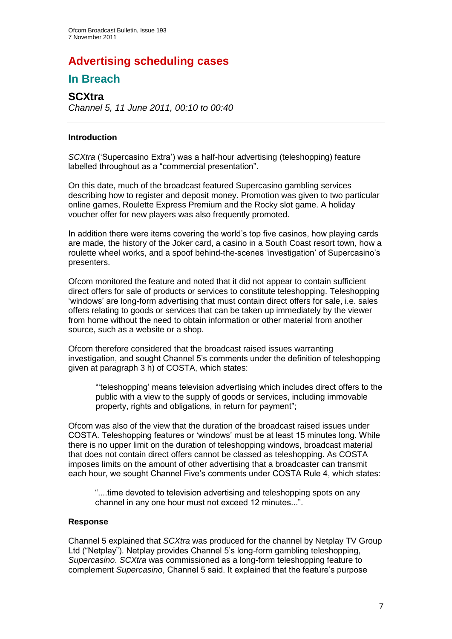# **Advertising scheduling cases**

## **In Breach**

## **SCXtra**

*Channel 5, 11 June 2011, 00:10 to 00:40*

#### **Introduction**

*SCXtra* ("Supercasino Extra") was a half-hour advertising (teleshopping) feature labelled throughout as a "commercial presentation".

On this date, much of the broadcast featured Supercasino gambling services describing how to register and deposit money. Promotion was given to two particular online games, Roulette Express Premium and the Rocky slot game. A holiday voucher offer for new players was also frequently promoted.

In addition there were items covering the world"s top five casinos, how playing cards are made, the history of the Joker card, a casino in a South Coast resort town, how a roulette wheel works, and a spoof behind-the-scenes "investigation" of Supercasino"s presenters.

Ofcom monitored the feature and noted that it did not appear to contain sufficient direct offers for sale of products or services to constitute teleshopping. Teleshopping 'windows' are long-form advertising that must contain direct offers for sale, i.e. sales offers relating to goods or services that can be taken up immediately by the viewer from home without the need to obtain information or other material from another source, such as a website or a shop.

Ofcom therefore considered that the broadcast raised issues warranting investigation, and sought Channel 5"s comments under the definition of teleshopping given at paragraph 3 h) of COSTA, which states:

""teleshopping" means television advertising which includes direct offers to the public with a view to the supply of goods or services, including immovable property, rights and obligations, in return for payment";

Ofcom was also of the view that the duration of the broadcast raised issues under COSTA. Teleshopping features or "windows" must be at least 15 minutes long. While there is no upper limit on the duration of teleshopping windows, broadcast material that does not contain direct offers cannot be classed as teleshopping. As COSTA imposes limits on the amount of other advertising that a broadcaster can transmit each hour, we sought Channel Five's comments under COSTA Rule 4, which states:

"....time devoted to television advertising and teleshopping spots on any channel in any one hour must not exceed 12 minutes...".

#### **Response**

Channel 5 explained that *SCXtra* was produced for the channel by Netplay TV Group Ltd ("Netplay"). Netplay provides Channel 5's long-form gambling teleshopping, *Supercasino*. *SCXtra* was commissioned as a long-form teleshopping feature to complement *Supercasino*, Channel 5 said. It explained that the feature"s purpose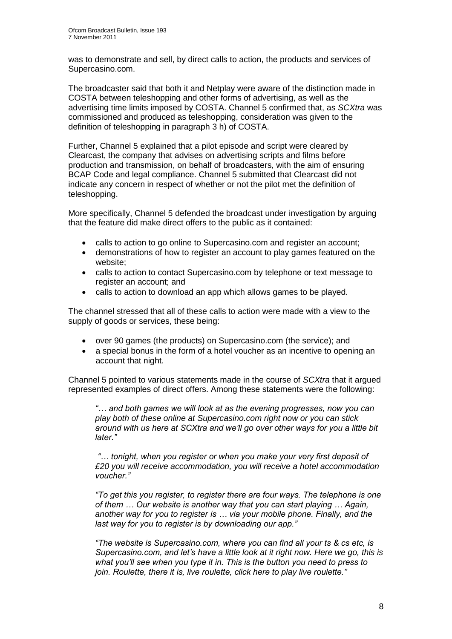was to demonstrate and sell, by direct calls to action, the products and services of Supercasino.com.

The broadcaster said that both it and Netplay were aware of the distinction made in COSTA between teleshopping and other forms of advertising, as well as the advertising time limits imposed by COSTA. Channel 5 confirmed that, as *SCXtra* was commissioned and produced as teleshopping, consideration was given to the definition of teleshopping in paragraph 3 h) of COSTA.

Further, Channel 5 explained that a pilot episode and script were cleared by Clearcast, the company that advises on advertising scripts and films before production and transmission, on behalf of broadcasters, with the aim of ensuring BCAP Code and legal compliance. Channel 5 submitted that Clearcast did not indicate any concern in respect of whether or not the pilot met the definition of teleshopping.

More specifically, Channel 5 defended the broadcast under investigation by arguing that the feature did make direct offers to the public as it contained:

- calls to action to go online to Supercasino.com and register an account;
- demonstrations of how to register an account to play games featured on the website;
- calls to action to contact Supercasino.com by telephone or text message to register an account; and
- calls to action to download an app which allows games to be played.

The channel stressed that all of these calls to action were made with a view to the supply of goods or services, these being:

- over 90 games (the products) on Supercasino.com (the service); and
- a special bonus in the form of a hotel voucher as an incentive to opening an account that night.

Channel 5 pointed to various statements made in the course of *SCXtra* that it argued represented examples of direct offers. Among these statements were the following:

*"… and both games we will look at as the evening progresses, now you can play both of these online at Supercasino.com right now or you can stick around with us here at SCXtra and we'll go over other ways for you a little bit later."*

*"… tonight, when you register or when you make your very first deposit of £20 you will receive accommodation, you will receive a hotel accommodation voucher."*

*"To get this you register, to register there are four ways. The telephone is one of them … Our website is another way that you can start playing … Again, another way for you to register is … via your mobile phone. Finally, and the last way for you to register is by downloading our app."*

*"The website is Supercasino.com, where you can find all your ts & cs etc, is Supercasino.com, and let's have a little look at it right now. Here we go, this is what you'll see when you type it in. This is the button you need to press to join. Roulette, there it is, live roulette, click here to play live roulette."*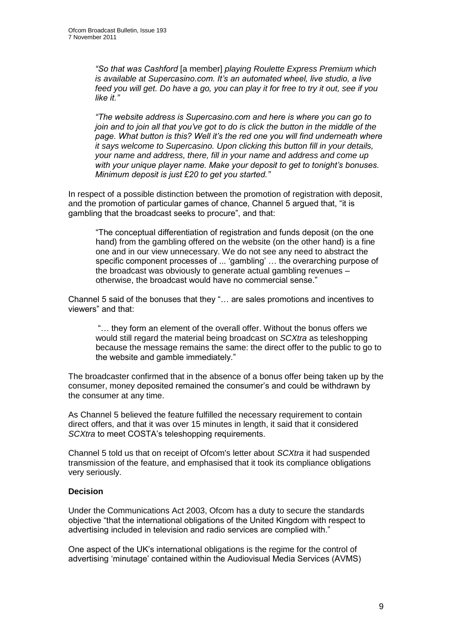*"So that was Cashford* [a member] *playing Roulette Express Premium which is available at Supercasino.com. It's an automated wheel, live studio, a live feed you will get. Do have a go, you can play it for free to try it out, see if you like it."*

*"The website address is Supercasino.com and here is where you can go to join and to join all that you've got to do is click the button in the middle of the page. What button is this? Well it's the red one you will find underneath where it says welcome to Supercasino. Upon clicking this button fill in your details, your name and address, there, fill in your name and address and come up with your unique player name. Make your deposit to get to tonight's bonuses. Minimum deposit is just £20 to get you started."*

In respect of a possible distinction between the promotion of registration with deposit, and the promotion of particular games of chance, Channel 5 argued that, "it is gambling that the broadcast seeks to procure", and that:

"The conceptual differentiation of registration and funds deposit (on the one hand) from the gambling offered on the website (on the other hand) is a fine one and in our view unnecessary. We do not see any need to abstract the specific component processes of ... 'gambling' ... the overarching purpose of the broadcast was obviously to generate actual gambling revenues – otherwise, the broadcast would have no commercial sense."

Channel 5 said of the bonuses that they "… are sales promotions and incentives to viewers" and that:

"… they form an element of the overall offer. Without the bonus offers we would still regard the material being broadcast on *SCXtra* as teleshopping because the message remains the same: the direct offer to the public to go to the website and gamble immediately."

The broadcaster confirmed that in the absence of a bonus offer being taken up by the consumer, money deposited remained the consumer"s and could be withdrawn by the consumer at any time.

As Channel 5 believed the feature fulfilled the necessary requirement to contain direct offers, and that it was over 15 minutes in length, it said that it considered *SCXtra* to meet COSTA"s teleshopping requirements.

Channel 5 told us that on receipt of Ofcom's letter about *SCXtra* it had suspended transmission of the feature, and emphasised that it took its compliance obligations very seriously.

#### **Decision**

Under the Communications Act 2003, Ofcom has a duty to secure the standards objective "that the international obligations of the United Kingdom with respect to advertising included in television and radio services are complied with."

One aspect of the UK"s international obligations is the regime for the control of advertising "minutage" contained within the Audiovisual Media Services (AVMS)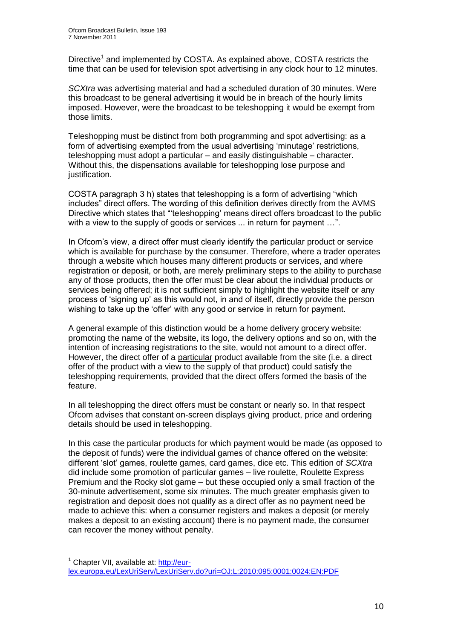Directive<sup>1</sup> and implemented by COSTA. As explained above, COSTA restricts the time that can be used for television spot advertising in any clock hour to 12 minutes.

*SCXtra* was advertising material and had a scheduled duration of 30 minutes. Were this broadcast to be general advertising it would be in breach of the hourly limits imposed. However, were the broadcast to be teleshopping it would be exempt from those limits.

Teleshopping must be distinct from both programming and spot advertising: as a form of advertising exempted from the usual advertising 'minutage' restrictions, teleshopping must adopt a particular – and easily distinguishable – character. Without this, the dispensations available for teleshopping lose purpose and justification.

COSTA paragraph 3 h) states that teleshopping is a form of advertising "which includes" direct offers. The wording of this definition derives directly from the AVMS Directive which states that ""teleshopping" means direct offers broadcast to the public with a view to the supply of goods or services ... in return for payment ...".

In Ofcom"s view, a direct offer must clearly identify the particular product or service which is available for purchase by the consumer. Therefore, where a trader operates through a website which houses many different products or services, and where registration or deposit, or both, are merely preliminary steps to the ability to purchase any of those products, then the offer must be clear about the individual products or services being offered; it is not sufficient simply to highlight the website itself or any process of "signing up" as this would not, in and of itself, directly provide the person wishing to take up the 'offer' with any good or service in return for payment.

A general example of this distinction would be a home delivery grocery website: promoting the name of the website, its logo, the delivery options and so on, with the intention of increasing registrations to the site, would not amount to a direct offer. However, the direct offer of a particular product available from the site (i.e. a direct offer of the product with a view to the supply of that product) could satisfy the teleshopping requirements, provided that the direct offers formed the basis of the feature.

In all teleshopping the direct offers must be constant or nearly so. In that respect Ofcom advises that constant on-screen displays giving product, price and ordering details should be used in teleshopping.

In this case the particular products for which payment would be made (as opposed to the deposit of funds) were the individual games of chance offered on the website: different "slot" games, roulette games, card games, dice etc. This edition of *SCXtra* did include some promotion of particular games – live roulette, Roulette Express Premium and the Rocky slot game – but these occupied only a small fraction of the 30-minute advertisement, some six minutes. The much greater emphasis given to registration and deposit does not qualify as a direct offer as no payment need be made to achieve this: when a consumer registers and makes a deposit (or merely makes a deposit to an existing account) there is no payment made, the consumer can recover the money without penalty.

1

 $<sup>1</sup>$  Chapter VII, available at: http://eur-</sup> [lex.europa.eu/LexUriServ/LexUriServ.do?uri=OJ:L:2010:095:0001:0024:EN:PDF](http://eur-lex.europa.eu/LexUriServ/LexUriServ.do?uri=OJ:L:2010:095:0001:0024:EN:PDF)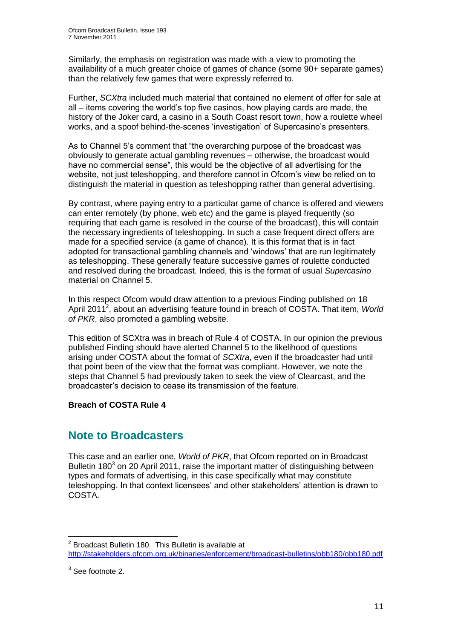Similarly, the emphasis on registration was made with a view to promoting the availability of a much greater choice of games of chance (some 90+ separate games) than the relatively few games that were expressly referred to.

Further, *SCXtra* included much material that contained no element of offer for sale at all – items covering the world"s top five casinos, how playing cards are made, the history of the Joker card, a casino in a South Coast resort town, how a roulette wheel works, and a spoof behind-the-scenes 'investigation' of Supercasino's presenters.

As to Channel 5's comment that "the overarching purpose of the broadcast was obviously to generate actual gambling revenues – otherwise, the broadcast would have no commercial sense", this would be the objective of all advertising for the website, not just teleshopping, and therefore cannot in Ofcom"s view be relied on to distinguish the material in question as teleshopping rather than general advertising.

By contrast, where paying entry to a particular game of chance is offered and viewers can enter remotely (by phone, web etc) and the game is played frequently (so requiring that each game is resolved in the course of the broadcast), this will contain the necessary ingredients of teleshopping. In such a case frequent direct offers are made for a specified service (a game of chance). It is this format that is in fact adopted for transactional gambling channels and "windows" that are run legitimately as teleshopping. These generally feature successive games of roulette conducted and resolved during the broadcast. Indeed, this is the format of usual *Supercasino* material on Channel 5.

In this respect Ofcom would draw attention to a previous Finding published on 18 April 2011<sup>2</sup>, about an advertising feature found in breach of COSTA. That item, *World of PKR*, also promoted a gambling website.

This edition of SCXtra was in breach of Rule 4 of COSTA. In our opinion the previous published Finding should have alerted Channel 5 to the likelihood of questions arising under COSTA about the format of *SCXtra*, even if the broadcaster had until that point been of the view that the format was compliant. However, we note the steps that Channel 5 had previously taken to seek the view of Clearcast, and the broadcaster"s decision to cease its transmission of the feature.

#### **Breach of COSTA Rule 4**

## **Note to Broadcasters**

This case and an earlier one, *World of PKR*, that Ofcom reported on in Broadcast Bulletin 180 $3$  on 20 April 2011, raise the important matter of distinguishing between types and formats of advertising, in this case specifically what may constitute teleshopping. In that context licensees" and other stakeholders" attention is drawn to COSTA.

 2 Broadcast Bulletin 180. This Bulletin is available at <http://stakeholders.ofcom.org.uk/binaries/enforcement/broadcast-bulletins/obb180/obb180.pdf>

 $3$  See footnote 2.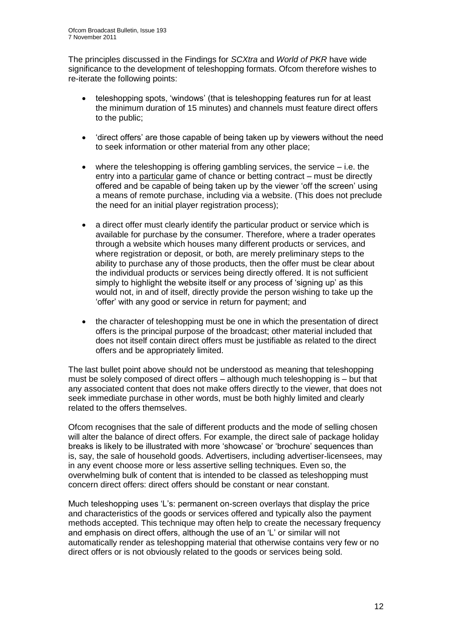The principles discussed in the Findings for *SCXtra* and *World of PKR* have wide significance to the development of teleshopping formats. Ofcom therefore wishes to re-iterate the following points:

- teleshopping spots, "windows" (that is teleshopping features run for at least the minimum duration of 15 minutes) and channels must feature direct offers to the public;
- "direct offers" are those capable of being taken up by viewers without the need to seek information or other material from any other place;
- where the teleshopping is offering gambling services, the service i.e. the entry into a particular game of chance or betting contract – must be directly offered and be capable of being taken up by the viewer "off the screen" using a means of remote purchase, including via a website. (This does not preclude the need for an initial player registration process);
- a direct offer must clearly identify the particular product or service which is available for purchase by the consumer. Therefore, where a trader operates through a website which houses many different products or services, and where registration or deposit, or both, are merely preliminary steps to the ability to purchase any of those products, then the offer must be clear about the individual products or services being directly offered. It is not sufficient simply to highlight the website itself or any process of 'signing up' as this would not, in and of itself, directly provide the person wishing to take up the "offer" with any good or service in return for payment; and
- the character of teleshopping must be one in which the presentation of direct offers is the principal purpose of the broadcast; other material included that does not itself contain direct offers must be justifiable as related to the direct offers and be appropriately limited.

The last bullet point above should not be understood as meaning that teleshopping must be solely composed of direct offers – although much teleshopping is – but that any associated content that does not make offers directly to the viewer, that does not seek immediate purchase in other words, must be both highly limited and clearly related to the offers themselves.

Ofcom recognises that the sale of different products and the mode of selling chosen will alter the balance of direct offers. For example, the direct sale of package holiday breaks is likely to be illustrated with more "showcase" or "brochure" sequences than is, say, the sale of household goods. Advertisers, including advertiser-licensees, may in any event choose more or less assertive selling techniques. Even so, the overwhelming bulk of content that is intended to be classed as teleshopping must concern direct offers: direct offers should be constant or near constant.

Much teleshopping uses "L"s: permanent on-screen overlays that display the price and characteristics of the goods or services offered and typically also the payment methods accepted. This technique may often help to create the necessary frequency and emphasis on direct offers, although the use of an "L" or similar will not automatically render as teleshopping material that otherwise contains very few or no direct offers or is not obviously related to the goods or services being sold.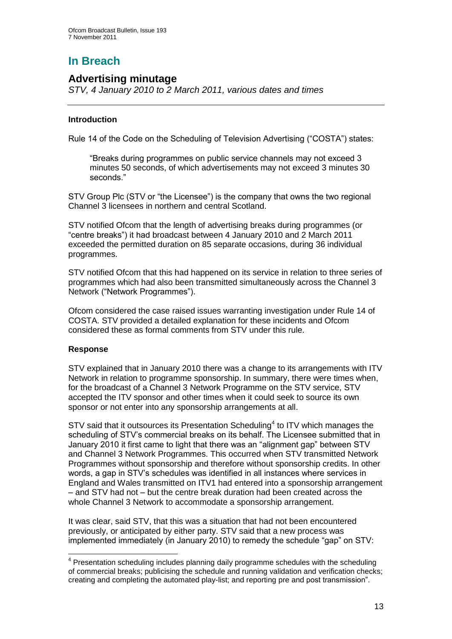# **In Breach**

## **Advertising minutage**

*STV, 4 January 2010 to 2 March 2011, various dates and times*

#### **Introduction**

Rule 14 of the Code on the Scheduling of Television Advertising ("COSTA") states:

"Breaks during programmes on public service channels may not exceed 3 minutes 50 seconds, of which advertisements may not exceed 3 minutes 30 seconds."

STV Group Plc (STV or "the Licensee") is the company that owns the two regional Channel 3 licensees in northern and central Scotland.

STV notified Ofcom that the length of advertising breaks during programmes (or "centre breaks") it had broadcast between 4 January 2010 and 2 March 2011 exceeded the permitted duration on 85 separate occasions, during 36 individual programmes.

STV notified Ofcom that this had happened on its service in relation to three series of programmes which had also been transmitted simultaneously across the Channel 3 Network ("Network Programmes").

Ofcom considered the case raised issues warranting investigation under Rule 14 of COSTA. STV provided a detailed explanation for these incidents and Ofcom considered these as formal comments from STV under this rule.

#### **Response**

1

STV explained that in January 2010 there was a change to its arrangements with ITV Network in relation to programme sponsorship. In summary, there were times when, for the broadcast of a Channel 3 Network Programme on the STV service, STV accepted the ITV sponsor and other times when it could seek to source its own sponsor or not enter into any sponsorship arrangements at all.

 $STV$  said that it outsources its Presentation Scheduling<sup>4</sup> to ITV which manages the scheduling of STV"s commercial breaks on its behalf. The Licensee submitted that in January 2010 it first came to light that there was an "alignment gap" between STV and Channel 3 Network Programmes. This occurred when STV transmitted Network Programmes without sponsorship and therefore without sponsorship credits. In other words, a gap in STV"s schedules was identified in all instances where services in England and Wales transmitted on ITV1 had entered into a sponsorship arrangement – and STV had not – but the centre break duration had been created across the whole Channel 3 Network to accommodate a sponsorship arrangement.

It was clear, said STV, that this was a situation that had not been encountered previously, or anticipated by either party. STV said that a new process was implemented immediately (in January 2010) to remedy the schedule "gap" on STV:

 $4$  Presentation scheduling includes planning daily programme schedules with the scheduling of commercial breaks; publicising the schedule and running validation and verification checks; creating and completing the automated play-list; and reporting pre and post transmission".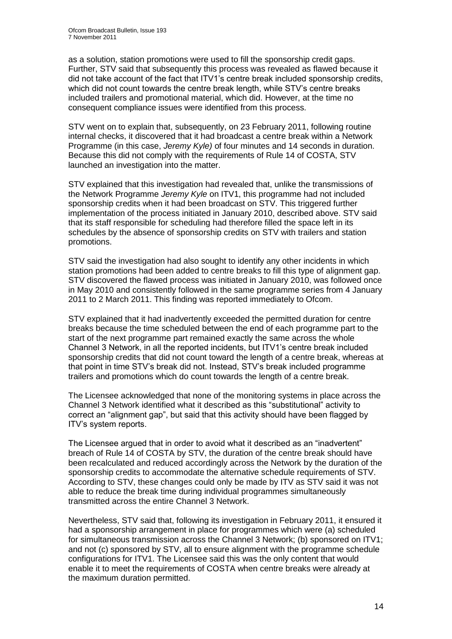as a solution, station promotions were used to fill the sponsorship credit gaps. Further, STV said that subsequently this process was revealed as flawed because it did not take account of the fact that ITV1"s centre break included sponsorship credits, which did not count towards the centre break length, while STV"s centre breaks included trailers and promotional material, which did. However, at the time no consequent compliance issues were identified from this process.

STV went on to explain that, subsequently, on 23 February 2011, following routine internal checks, it discovered that it had broadcast a centre break within a Network Programme (in this case, *Jeremy Kyle)* of four minutes and 14 seconds in duration. Because this did not comply with the requirements of Rule 14 of COSTA, STV launched an investigation into the matter.

STV explained that this investigation had revealed that, unlike the transmissions of the Network Programme *Jeremy Kyle* on ITV1, this programme had not included sponsorship credits when it had been broadcast on STV. This triggered further implementation of the process initiated in January 2010, described above. STV said that its staff responsible for scheduling had therefore filled the space left in its schedules by the absence of sponsorship credits on STV with trailers and station promotions.

STV said the investigation had also sought to identify any other incidents in which station promotions had been added to centre breaks to fill this type of alignment gap. STV discovered the flawed process was initiated in January 2010, was followed once in May 2010 and consistently followed in the same programme series from 4 January 2011 to 2 March 2011. This finding was reported immediately to Ofcom.

STV explained that it had inadvertently exceeded the permitted duration for centre breaks because the time scheduled between the end of each programme part to the start of the next programme part remained exactly the same across the whole Channel 3 Network, in all the reported incidents, but ITV1"s centre break included sponsorship credits that did not count toward the length of a centre break, whereas at that point in time STV"s break did not. Instead, STV"s break included programme trailers and promotions which do count towards the length of a centre break.

The Licensee acknowledged that none of the monitoring systems in place across the Channel 3 Network identified what it described as this "substitutional" activity to correct an "alignment gap", but said that this activity should have been flagged by ITV"s system reports.

The Licensee argued that in order to avoid what it described as an "inadvertent" breach of Rule 14 of COSTA by STV, the duration of the centre break should have been recalculated and reduced accordingly across the Network by the duration of the sponsorship credits to accommodate the alternative schedule requirements of STV. According to STV, these changes could only be made by ITV as STV said it was not able to reduce the break time during individual programmes simultaneously transmitted across the entire Channel 3 Network.

Nevertheless, STV said that, following its investigation in February 2011, it ensured it had a sponsorship arrangement in place for programmes which were (a) scheduled for simultaneous transmission across the Channel 3 Network; (b) sponsored on ITV1; and not (c) sponsored by STV, all to ensure alignment with the programme schedule configurations for ITV1. The Licensee said this was the only content that would enable it to meet the requirements of COSTA when centre breaks were already at the maximum duration permitted.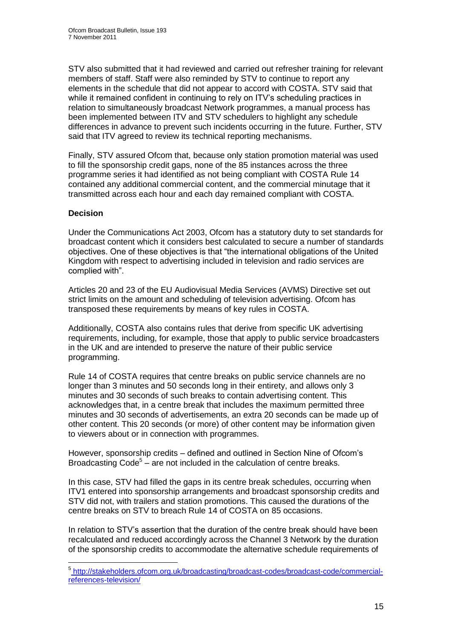STV also submitted that it had reviewed and carried out refresher training for relevant members of staff. Staff were also reminded by STV to continue to report any elements in the schedule that did not appear to accord with COSTA. STV said that while it remained confident in continuing to rely on ITV's scheduling practices in relation to simultaneously broadcast Network programmes, a manual process has been implemented between ITV and STV schedulers to highlight any schedule differences in advance to prevent such incidents occurring in the future. Further, STV said that ITV agreed to review its technical reporting mechanisms.

Finally, STV assured Ofcom that, because only station promotion material was used to fill the sponsorship credit gaps, none of the 85 instances across the three programme series it had identified as not being compliant with COSTA Rule 14 contained any additional commercial content, and the commercial minutage that it transmitted across each hour and each day remained compliant with COSTA.

#### **Decision**

Under the Communications Act 2003, Ofcom has a statutory duty to set standards for broadcast content which it considers best calculated to secure a number of standards objectives. One of these objectives is that "the international obligations of the United Kingdom with respect to advertising included in television and radio services are complied with".

Articles 20 and 23 of the EU Audiovisual Media Services (AVMS) Directive set out strict limits on the amount and scheduling of television advertising. Ofcom has transposed these requirements by means of key rules in COSTA.

Additionally, COSTA also contains rules that derive from specific UK advertising requirements, including, for example, those that apply to public service broadcasters in the UK and are intended to preserve the nature of their public service programming.

Rule 14 of COSTA requires that centre breaks on public service channels are no longer than 3 minutes and 50 seconds long in their entirety, and allows only 3 minutes and 30 seconds of such breaks to contain advertising content. This acknowledges that, in a centre break that includes the maximum permitted three minutes and 30 seconds of advertisements, an extra 20 seconds can be made up of other content. This 20 seconds (or more) of other content may be information given to viewers about or in connection with programmes.

However, sponsorship credits – defined and outlined in Section Nine of Ofcom"s Broadcasting Code<sup>5</sup> – are not included in the calculation of centre breaks.

In this case, STV had filled the gaps in its centre break schedules, occurring when ITV1 entered into sponsorship arrangements and broadcast sponsorship credits and STV did not, with trailers and station promotions. This caused the durations of the centre breaks on STV to breach Rule 14 of COSTA on 85 occasions.

In relation to STV"s assertion that the duration of the centre break should have been recalculated and reduced accordingly across the Channel 3 Network by the duration of the sponsorship credits to accommodate the alternative schedule requirements of

 5 [http://stakeholders.ofcom.org.uk/broadcasting/broadcast-codes/broadcast-code/commercial](http://stakeholders.ofcom.org.uk/broadcasting/broadcast-codes/broadcast-code/commercial-references-television/)[references-television/](http://stakeholders.ofcom.org.uk/broadcasting/broadcast-codes/broadcast-code/commercial-references-television/)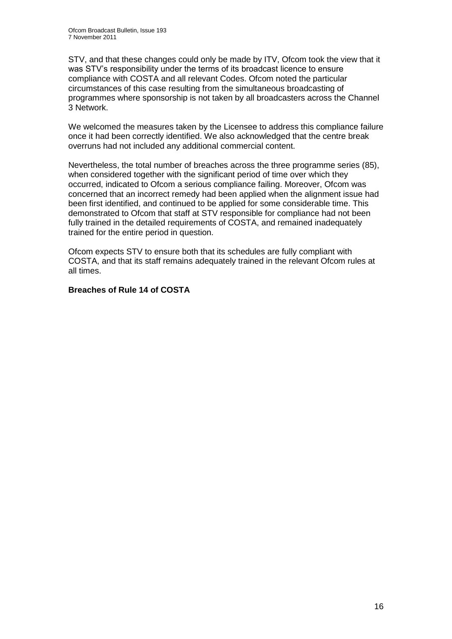STV, and that these changes could only be made by ITV, Ofcom took the view that it was STV's responsibility under the terms of its broadcast licence to ensure compliance with COSTA and all relevant Codes. Ofcom noted the particular circumstances of this case resulting from the simultaneous broadcasting of programmes where sponsorship is not taken by all broadcasters across the Channel 3 Network.

We welcomed the measures taken by the Licensee to address this compliance failure once it had been correctly identified. We also acknowledged that the centre break overruns had not included any additional commercial content.

Nevertheless, the total number of breaches across the three programme series (85), when considered together with the significant period of time over which they occurred, indicated to Ofcom a serious compliance failing. Moreover, Ofcom was concerned that an incorrect remedy had been applied when the alignment issue had been first identified, and continued to be applied for some considerable time. This demonstrated to Ofcom that staff at STV responsible for compliance had not been fully trained in the detailed requirements of COSTA, and remained inadequately trained for the entire period in question.

Ofcom expects STV to ensure both that its schedules are fully compliant with COSTA, and that its staff remains adequately trained in the relevant Ofcom rules at all times.

#### **Breaches of Rule 14 of COSTA**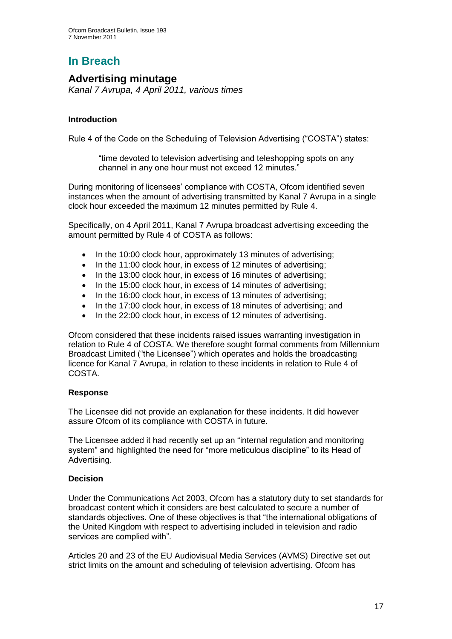# **In Breach**

## **Advertising minutage**

*Kanal 7 Avrupa, 4 April 2011, various times*

#### **Introduction**

Rule 4 of the Code on the Scheduling of Television Advertising ("COSTA") states:

"time devoted to television advertising and teleshopping spots on any channel in any one hour must not exceed 12 minutes."

During monitoring of licensees' compliance with COSTA, Ofcom identified seven instances when the amount of advertising transmitted by Kanal 7 Avrupa in a single clock hour exceeded the maximum 12 minutes permitted by Rule 4.

Specifically, on 4 April 2011, Kanal 7 Avrupa broadcast advertising exceeding the amount permitted by Rule 4 of COSTA as follows:

- In the 10:00 clock hour, approximately 13 minutes of advertising;
- In the 11:00 clock hour, in excess of 12 minutes of advertising;
- In the 13:00 clock hour, in excess of 16 minutes of advertising;
- In the 15:00 clock hour, in excess of 14 minutes of advertising;
- In the 16:00 clock hour, in excess of 13 minutes of advertising;
- In the 17:00 clock hour, in excess of 18 minutes of advertising; and
- In the 22:00 clock hour, in excess of 12 minutes of advertising.

Ofcom considered that these incidents raised issues warranting investigation in relation to Rule 4 of COSTA. We therefore sought formal comments from [Millennium](http://mavise.obs.coe.int/company?id=6560)  [Broadcast Limited](http://mavise.obs.coe.int/company?id=6560) ("the Licensee") which operates and holds the broadcasting licence for Kanal 7 Avrupa, in relation to these incidents in relation to Rule 4 of COSTA.

#### **Response**

The Licensee did not provide an explanation for these incidents. It did however assure Ofcom of its compliance with COSTA in future.

The Licensee added it had recently set up an "internal regulation and monitoring system" and highlighted the need for "more meticulous discipline" to its Head of Advertising.

#### **Decision**

Under the Communications Act 2003, Ofcom has a statutory duty to set standards for broadcast content which it considers are best calculated to secure a number of standards objectives. One of these objectives is that "the international obligations of the United Kingdom with respect to advertising included in television and radio services are complied with".

Articles 20 and 23 of the EU Audiovisual Media Services (AVMS) Directive set out strict limits on the amount and scheduling of television advertising. Ofcom has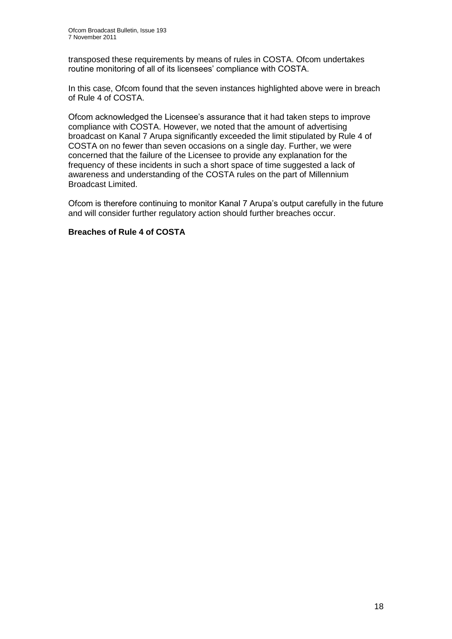transposed these requirements by means of rules in COSTA. Ofcom undertakes routine monitoring of all of its licensees' compliance with COSTA.

In this case, Ofcom found that the seven instances highlighted above were in breach of Rule 4 of COSTA.

Ofcom acknowledged the Licensee"s assurance that it had taken steps to improve compliance with COSTA. However, we noted that the amount of advertising broadcast on Kanal 7 Arupa significantly exceeded the limit stipulated by Rule 4 of COSTA on no fewer than seven occasions on a single day. Further, we were concerned that the failure of the Licensee to provide any explanation for the frequency of these incidents in such a short space of time suggested a lack of awareness and understanding of the COSTA rules on the part of [Millennium](http://mavise.obs.coe.int/company?id=6560)  [Broadcast Limited.](http://mavise.obs.coe.int/company?id=6560)

Ofcom is therefore continuing to monitor Kanal 7 Arupa"s output carefully in the future and will consider further regulatory action should further breaches occur.

#### **Breaches of Rule 4 of COSTA**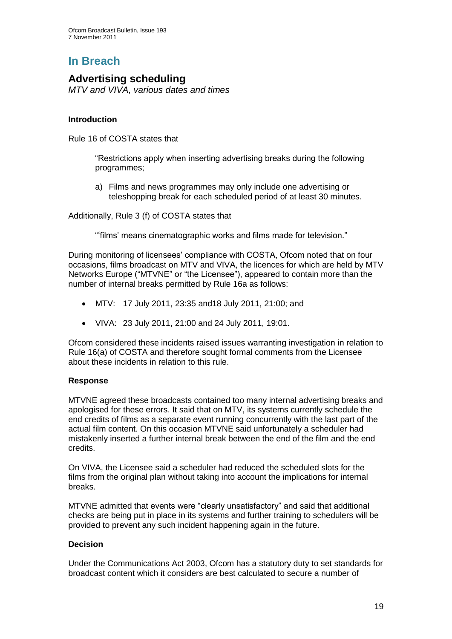# **In Breach**

## **Advertising scheduling**

*MTV and VIVA, various dates and times*

#### **Introduction**

Rule 16 of COSTA states that

"Restrictions apply when inserting advertising breaks during the following programmes;

a) Films and news programmes may only include one advertising or teleshopping break for each scheduled period of at least 30 minutes.

Additionally, Rule 3 (f) of COSTA states that

""films" means cinematographic works and films made for television."

During monitoring of licensees" compliance with COSTA, Ofcom noted that on four occasions, films broadcast on MTV and VIVA, the licences for which are held by MTV Networks Europe ("MTVNE" or "the Licensee"), appeared to contain more than the number of internal breaks permitted by Rule 16a as follows:

- MTV: 17 July 2011, 23:35 and18 July 2011, 21:00; and
- VIVA: 23 July 2011, 21:00 and 24 July 2011, 19:01.

Ofcom considered these incidents raised issues warranting investigation in relation to Rule 16(a) of COSTA and therefore sought formal comments from the Licensee about these incidents in relation to this rule.

#### **Response**

MTVNE agreed these broadcasts contained too many internal advertising breaks and apologised for these errors. It said that on MTV, its systems currently schedule the end credits of films as a separate event running concurrently with the last part of the actual film content. On this occasion MTVNE said unfortunately a scheduler had mistakenly inserted a further internal break between the end of the film and the end credits.

On VIVA, the Licensee said a scheduler had reduced the scheduled slots for the films from the original plan without taking into account the implications for internal breaks.

MTVNE admitted that events were "clearly unsatisfactory" and said that additional checks are being put in place in its systems and further training to schedulers will be provided to prevent any such incident happening again in the future.

#### **Decision**

Under the Communications Act 2003, Ofcom has a statutory duty to set standards for broadcast content which it considers are best calculated to secure a number of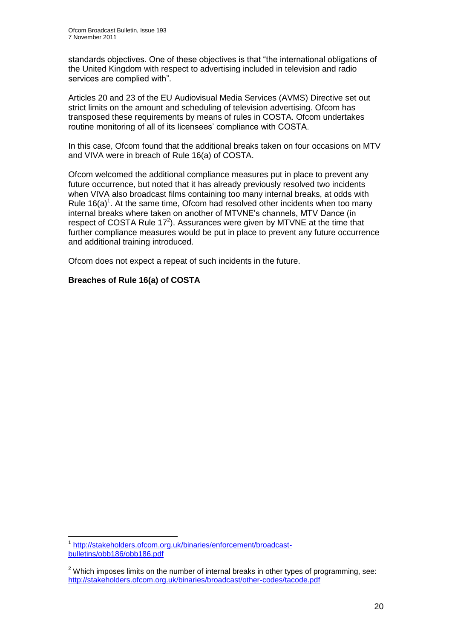standards objectives. One of these objectives is that "the international obligations of the United Kingdom with respect to advertising included in television and radio services are complied with".

Articles 20 and 23 of the EU Audiovisual Media Services (AVMS) Directive set out strict limits on the amount and scheduling of television advertising. Ofcom has transposed these requirements by means of rules in COSTA. Ofcom undertakes routine monitoring of all of its licensees' compliance with COSTA.

In this case, Ofcom found that the additional breaks taken on four occasions on MTV and VIVA were in breach of Rule 16(a) of COSTA.

Ofcom welcomed the additional compliance measures put in place to prevent any future occurrence, but noted that it has already previously resolved two incidents when VIVA also broadcast films containing too many internal breaks, at odds with Rule  $16(a)^1$ . At the same time, Ofcom had resolved other incidents when too many internal breaks where taken on another of MTVNE"s channels, MTV Dance (in respect of COSTA Rule  $17<sup>2</sup>$ ). Assurances were given by MTVNE at the time that further compliance measures would be put in place to prevent any future occurrence and additional training introduced.

Ofcom does not expect a repeat of such incidents in the future.

#### **Breaches of Rule 16(a) of COSTA**

1

<sup>1</sup> [http://stakeholders.ofcom.org.uk/binaries/enforcement/broadcast](http://stakeholders.ofcom.org.uk/binaries/enforcement/broadcast-bulletins/obb186/obb186.pdf)[bulletins/obb186/obb186.pdf](http://stakeholders.ofcom.org.uk/binaries/enforcement/broadcast-bulletins/obb186/obb186.pdf)

 $2$  Which imposes limits on the number of internal breaks in other types of programming, see: <http://stakeholders.ofcom.org.uk/binaries/broadcast/other-codes/tacode.pdf>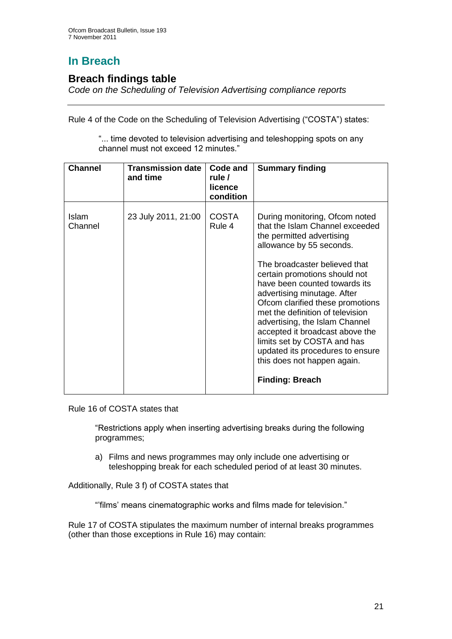# **In Breach**

## **Breach findings table**

*Code on the Scheduling of Television Advertising compliance reports*

Rule 4 of the Code on the Scheduling of Television Advertising ("COSTA") states:

"... time devoted to television advertising and teleshopping spots on any channel must not exceed 12 minutes."

| <b>Channel</b>   | <b>Transmission date</b><br>and time | Code and<br>rule /<br>licence<br>condition | <b>Summary finding</b>                                                                                                                                                                                                                                                                                                                                                                                                                                                                                                                |
|------------------|--------------------------------------|--------------------------------------------|---------------------------------------------------------------------------------------------------------------------------------------------------------------------------------------------------------------------------------------------------------------------------------------------------------------------------------------------------------------------------------------------------------------------------------------------------------------------------------------------------------------------------------------|
| Islam<br>Channel | 23 July 2011, 21:00                  | <b>COSTA</b><br>Rule 4                     | During monitoring, Ofcom noted<br>that the Islam Channel exceeded<br>the permitted advertising<br>allowance by 55 seconds.<br>The broadcaster believed that<br>certain promotions should not<br>have been counted towards its<br>advertising minutage. After<br>Ofcom clarified these promotions<br>met the definition of television<br>advertising, the Islam Channel<br>accepted it broadcast above the<br>limits set by COSTA and has<br>updated its procedures to ensure<br>this does not happen again.<br><b>Finding: Breach</b> |

Rule 16 of COSTA states that

"Restrictions apply when inserting advertising breaks during the following programmes;

a) Films and news programmes may only include one advertising or teleshopping break for each scheduled period of at least 30 minutes.

Additionally, Rule 3 f) of COSTA states that

""films" means cinematographic works and films made for television."

Rule 17 of COSTA stipulates the maximum number of internal breaks programmes (other than those exceptions in Rule 16) may contain: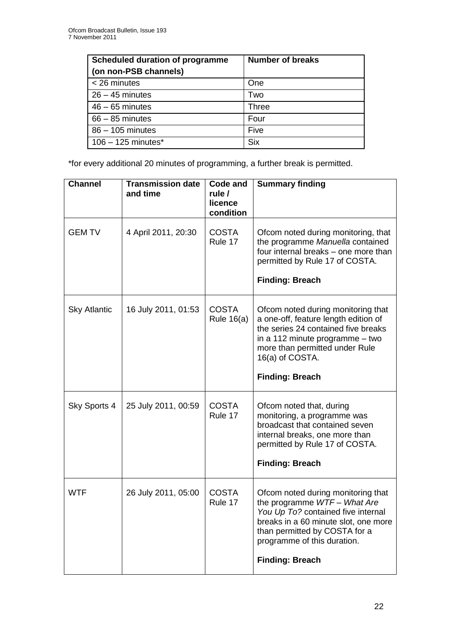| <b>Scheduled duration of programme</b><br>(on non-PSB channels) | <b>Number of breaks</b> |
|-----------------------------------------------------------------|-------------------------|
| $<$ 26 minutes                                                  | One                     |
| $26 - 45$ minutes                                               | Two                     |
| $46 - 65$ minutes                                               | <b>Three</b>            |
| $66 - 85$ minutes                                               | Four                    |
| 86 - 105 minutes                                                | Five                    |
| $106 - 125$ minutes <sup>*</sup>                                | <b>Six</b>              |

\*for every additional 20 minutes of programming, a further break is permitted.

| <b>Channel</b>      | <b>Transmission date</b><br>and time | <b>Code and</b><br>rule $\prime$<br>licence<br>condition | <b>Summary finding</b>                                                                                                                                                                                                                    |
|---------------------|--------------------------------------|----------------------------------------------------------|-------------------------------------------------------------------------------------------------------------------------------------------------------------------------------------------------------------------------------------------|
| <b>GEM TV</b>       | 4 April 2011, 20:30                  | <b>COSTA</b><br>Rule 17                                  | Ofcom noted during monitoring, that<br>the programme Manuella contained<br>four internal breaks – one more than<br>permitted by Rule 17 of COSTA.<br><b>Finding: Breach</b>                                                               |
| <b>Sky Atlantic</b> | 16 July 2011, 01:53                  | <b>COSTA</b><br><b>Rule 16(a)</b>                        | Ofcom noted during monitoring that<br>a one-off, feature length edition of<br>the series 24 contained five breaks<br>in a 112 minute programme - two<br>more than permitted under Rule<br>16(a) of COSTA.<br><b>Finding: Breach</b>       |
|                     |                                      |                                                          |                                                                                                                                                                                                                                           |
| Sky Sports 4        | 25 July 2011, 00:59                  | <b>COSTA</b><br>Rule 17                                  | Ofcom noted that, during<br>monitoring, a programme was<br>broadcast that contained seven<br>internal breaks, one more than<br>permitted by Rule 17 of COSTA.<br><b>Finding: Breach</b>                                                   |
| <b>WTF</b>          | 26 July 2011, 05:00                  | <b>COSTA</b><br>Rule 17                                  | Ofcom noted during monitoring that<br>the programme WTF- What Are<br>You Up To? contained five internal<br>breaks in a 60 minute slot, one more<br>than permitted by COSTA for a<br>programme of this duration.<br><b>Finding: Breach</b> |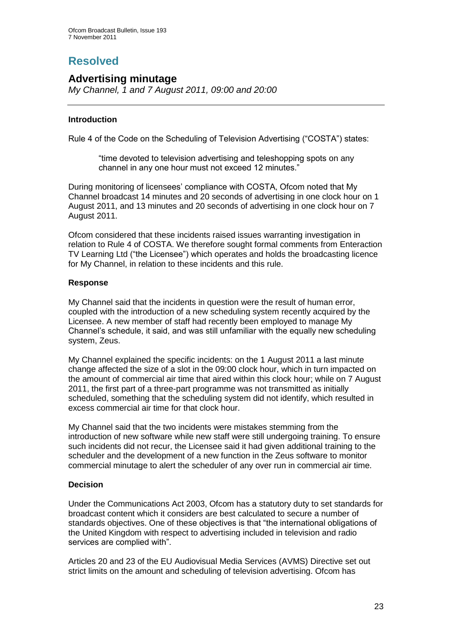# **Resolved**

## **Advertising minutage**

*My Channel, 1 and 7 August 2011, 09:00 and 20:00*

#### **Introduction**

Rule 4 of the Code on the Scheduling of Television Advertising ("COSTA") states:

"time devoted to television advertising and teleshopping spots on any channel in any one hour must not exceed 12 minutes."

During monitoring of licensees' compliance with COSTA, Ofcom noted that My Channel broadcast 14 minutes and 20 seconds of advertising in one clock hour on 1 August 2011, and 13 minutes and 20 seconds of advertising in one clock hour on 7 August 2011.

Ofcom considered that these incidents raised issues warranting investigation in relation to Rule 4 of COSTA. We therefore sought formal comments from Enteraction TV Learning Ltd ("the Licensee") which operates and holds the broadcasting licence for My Channel, in relation to these incidents and this rule.

#### **Response**

My Channel said that the incidents in question were the result of human error, coupled with the introduction of a new scheduling system recently acquired by the Licensee. A new member of staff had recently been employed to manage My Channel"s schedule, it said, and was still unfamiliar with the equally new scheduling system, Zeus.

My Channel explained the specific incidents: on the 1 August 2011 a last minute change affected the size of a slot in the 09:00 clock hour, which in turn impacted on the amount of commercial air time that aired within this clock hour; while on 7 August 2011, the first part of a three-part programme was not transmitted as initially scheduled, something that the scheduling system did not identify, which resulted in excess commercial air time for that clock hour.

My Channel said that the two incidents were mistakes stemming from the introduction of new software while new staff were still undergoing training. To ensure such incidents did not recur, the Licensee said it had given additional training to the scheduler and the development of a new function in the Zeus software to monitor commercial minutage to alert the scheduler of any over run in commercial air time.

#### **Decision**

Under the Communications Act 2003, Ofcom has a statutory duty to set standards for broadcast content which it considers are best calculated to secure a number of standards objectives. One of these objectives is that "the international obligations of the United Kingdom with respect to advertising included in television and radio services are complied with".

Articles 20 and 23 of the EU Audiovisual Media Services (AVMS) Directive set out strict limits on the amount and scheduling of television advertising. Ofcom has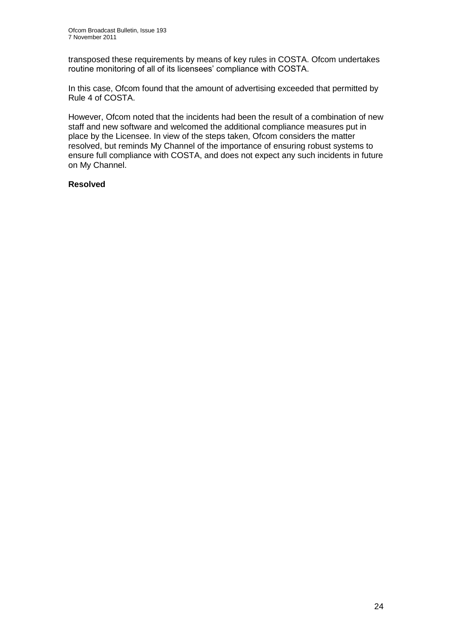transposed these requirements by means of key rules in COSTA. Ofcom undertakes routine monitoring of all of its licensees' compliance with COSTA.

In this case, Ofcom found that the amount of advertising exceeded that permitted by Rule 4 of COSTA.

However, Ofcom noted that the incidents had been the result of a combination of new staff and new software and welcomed the additional compliance measures put in place by the Licensee. In view of the steps taken, Ofcom considers the matter resolved, but reminds My Channel of the importance of ensuring robust systems to ensure full compliance with COSTA, and does not expect any such incidents in future on My Channel.

#### **Resolved**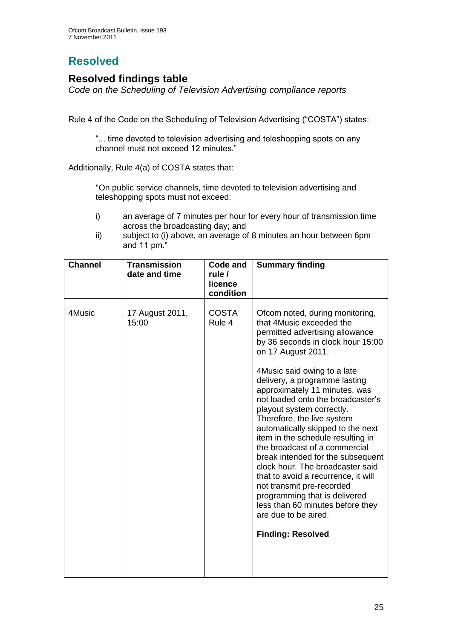# **Resolved**

## **Resolved findings table**

*Code on the Scheduling of Television Advertising compliance reports*

Rule 4 of the Code on the Scheduling of Television Advertising ("COSTA") states:

"... time devoted to television advertising and teleshopping spots on any channel must not exceed 12 minutes."

Additionally, Rule 4(a) of COSTA states that:

"On public service channels, time devoted to television advertising and teleshopping spots must not exceed:

- i) an average of 7 minutes per hour for every hour of transmission time across the broadcasting day; and
- ii) subject to (i) above, an average of 8 minutes an hour between 6pm and 11 pm."

| <b>Channel</b> | <b>Transmission</b><br>date and time | Code and<br>rule /<br>licence | <b>Summary finding</b>                                                                                                                                                                                                                                                                                                                                                                                                                                                                                                                                                                                                                                                                                                                      |
|----------------|--------------------------------------|-------------------------------|---------------------------------------------------------------------------------------------------------------------------------------------------------------------------------------------------------------------------------------------------------------------------------------------------------------------------------------------------------------------------------------------------------------------------------------------------------------------------------------------------------------------------------------------------------------------------------------------------------------------------------------------------------------------------------------------------------------------------------------------|
|                |                                      | condition                     |                                                                                                                                                                                                                                                                                                                                                                                                                                                                                                                                                                                                                                                                                                                                             |
| 4Music         | 17 August 2011,<br>15:00             | <b>COSTA</b><br>Rule 4        | Ofcom noted, during monitoring,<br>that 4Music exceeded the<br>permitted advertising allowance<br>by 36 seconds in clock hour 15:00<br>on 17 August 2011.<br>4Music said owing to a late<br>delivery, a programme lasting<br>approximately 11 minutes, was<br>not loaded onto the broadcaster's<br>playout system correctly.<br>Therefore, the live system<br>automatically skipped to the next<br>item in the schedule resulting in<br>the broadcast of a commercial<br>break intended for the subsequent<br>clock hour. The broadcaster said<br>that to avoid a recurrence, it will<br>not transmit pre-recorded<br>programming that is delivered<br>less than 60 minutes before they<br>are due to be aired.<br><b>Finding: Resolved</b> |
|                |                                      |                               |                                                                                                                                                                                                                                                                                                                                                                                                                                                                                                                                                                                                                                                                                                                                             |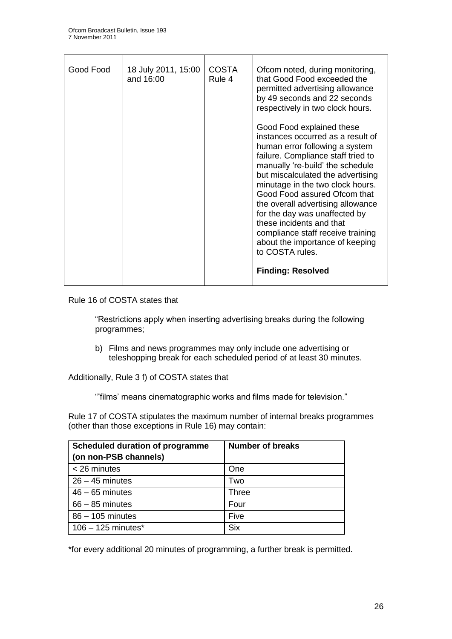| Good Food | 18 July 2011, 15:00<br>and 16:00 | <b>COSTA</b><br>Rule 4 | Ofcom noted, during monitoring,<br>that Good Food exceeded the<br>permitted advertising allowance<br>by 49 seconds and 22 seconds<br>respectively in two clock hours.<br>Good Food explained these<br>instances occurred as a result of                                                                                                                                                                                                    |
|-----------|----------------------------------|------------------------|--------------------------------------------------------------------------------------------------------------------------------------------------------------------------------------------------------------------------------------------------------------------------------------------------------------------------------------------------------------------------------------------------------------------------------------------|
|           |                                  |                        | human error following a system<br>failure. Compliance staff tried to<br>manually 're-build' the schedule<br>but miscalculated the advertising<br>minutage in the two clock hours.<br>Good Food assured Ofcom that<br>the overall advertising allowance<br>for the day was unaffected by<br>these incidents and that<br>compliance staff receive training<br>about the importance of keeping<br>to COSTA rules.<br><b>Finding: Resolved</b> |

Rule 16 of COSTA states that

"Restrictions apply when inserting advertising breaks during the following programmes;

b) Films and news programmes may only include one advertising or teleshopping break for each scheduled period of at least 30 minutes.

Additionally, Rule 3 f) of COSTA states that

""films" means cinematographic works and films made for television."

Rule 17 of COSTA stipulates the maximum number of internal breaks programmes (other than those exceptions in Rule 16) may contain:

| <b>Scheduled duration of programme</b><br>(on non-PSB channels) | <b>Number of breaks</b> |
|-----------------------------------------------------------------|-------------------------|
| $<$ 26 minutes                                                  | One                     |
| $26 - 45$ minutes                                               | Two                     |
| $46 - 65$ minutes                                               | <b>Three</b>            |
| $66 - 85$ minutes                                               | Four                    |
| 86 - 105 minutes                                                | Five                    |
| $106 - 125$ minutes*                                            | <b>Six</b>              |

\*for every additional 20 minutes of programming, a further break is permitted.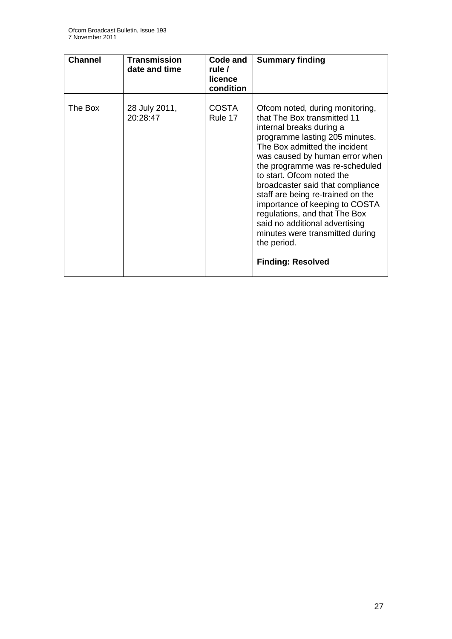| <b>Channel</b> | <b>Transmission</b><br>date and time | Code and<br>rule /<br>licence<br>condition | <b>Summary finding</b>                                                                                                                                                                                                                                                                                                                                                                                                                                                                                                     |
|----------------|--------------------------------------|--------------------------------------------|----------------------------------------------------------------------------------------------------------------------------------------------------------------------------------------------------------------------------------------------------------------------------------------------------------------------------------------------------------------------------------------------------------------------------------------------------------------------------------------------------------------------------|
| The Box        | 28 July 2011,<br>20:28:47            | <b>COSTA</b><br>Rule 17                    | Ofcom noted, during monitoring,<br>that The Box transmitted 11<br>internal breaks during a<br>programme lasting 205 minutes.<br>The Box admitted the incident<br>was caused by human error when<br>the programme was re-scheduled<br>to start. Ofcom noted the<br>broadcaster said that compliance<br>staff are being re-trained on the<br>importance of keeping to COSTA<br>regulations, and that The Box<br>said no additional advertising<br>minutes were transmitted during<br>the period.<br><b>Finding: Resolved</b> |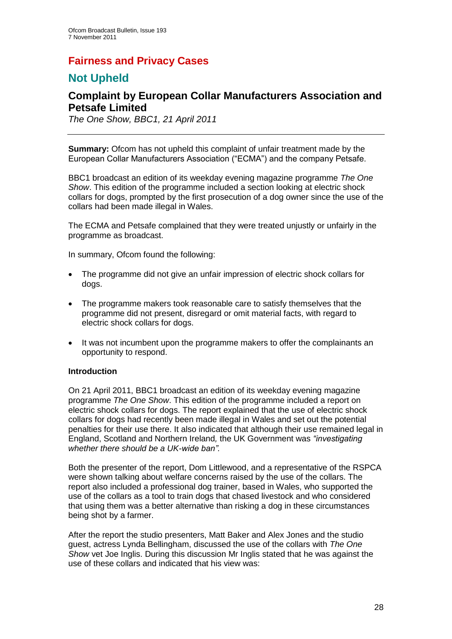## **Fairness and Privacy Cases**

## **Not Upheld**

## **Complaint by European Collar Manufacturers Association and Petsafe Limited**

*The One Show, BBC1, 21 April 2011*

**Summary:** Ofcom has not upheld this complaint of unfair treatment made by the European Collar Manufacturers Association ("ECMA") and the company Petsafe.

BBC1 broadcast an edition of its weekday evening magazine programme *The One Show*. This edition of the programme included a section looking at electric shock collars for dogs, prompted by the first prosecution of a dog owner since the use of the collars had been made illegal in Wales.

The ECMA and Petsafe complained that they were treated unjustly or unfairly in the programme as broadcast.

In summary, Ofcom found the following:

- The programme did not give an unfair impression of electric shock collars for dogs.
- The programme makers took reasonable care to satisfy themselves that the programme did not present, disregard or omit material facts, with regard to electric shock collars for dogs.
- It was not incumbent upon the programme makers to offer the complainants an opportunity to respond.

#### **Introduction**

On 21 April 2011, BBC1 broadcast an edition of its weekday evening magazine programme *The One Show*. This edition of the programme included a report on electric shock collars for dogs. The report explained that the use of electric shock collars for dogs had recently been made illegal in Wales and set out the potential penalties for their use there. It also indicated that although their use remained legal in England, Scotland and Northern Ireland*,* the UK Government was *"investigating whether there should be a UK-wide ban".*

Both the presenter of the report, Dom Littlewood, and a representative of the RSPCA were shown talking about welfare concerns raised by the use of the collars. The report also included a professional dog trainer, based in Wales, who supported the use of the collars as a tool to train dogs that chased livestock and who considered that using them was a better alternative than risking a dog in these circumstances being shot by a farmer.

After the report the studio presenters, Matt Baker and Alex Jones and the studio guest, actress Lynda Bellingham, discussed the use of the collars with *The One Show* vet Joe Inglis. During this discussion Mr Inglis stated that he was against the use of these collars and indicated that his view was: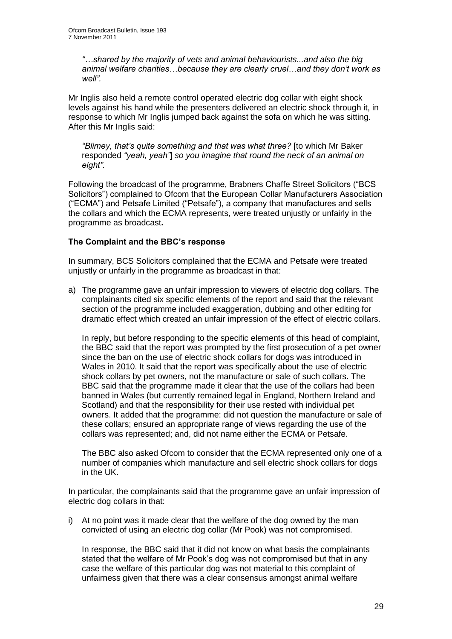*"…shared by the majority of vets and animal behaviourists...and also the big animal welfare charities…because they are clearly cruel…and they don't work as well".*

Mr Inglis also held a remote control operated electric dog collar with eight shock levels against his hand while the presenters delivered an electric shock through it, in response to which Mr Inglis jumped back against the sofa on which he was sitting. After this Mr Inglis said:

*"Blimey, that's quite something and that was what three?* [to which Mr Baker responded *"yeah, yeah"*] *so you imagine that round the neck of an animal on eight".*

Following the broadcast of the programme, Brabners Chaffe Street Solicitors ("BCS Solicitors") complained to Ofcom that the European Collar Manufacturers Association ("ECMA") and Petsafe Limited ("Petsafe"), a company that manufactures and sells the collars and which the ECMA represents, were treated unjustly or unfairly in the programme as broadcast**.**

#### **The Complaint and the BBC's response**

In summary, BCS Solicitors complained that the ECMA and Petsafe were treated unjustly or unfairly in the programme as broadcast in that:

a) The programme gave an unfair impression to viewers of electric dog collars. The complainants cited six specific elements of the report and said that the relevant section of the programme included exaggeration, dubbing and other editing for dramatic effect which created an unfair impression of the effect of electric collars.

In reply, but before responding to the specific elements of this head of complaint, the BBC said that the report was prompted by the first prosecution of a pet owner since the ban on the use of electric shock collars for dogs was introduced in Wales in 2010. It said that the report was specifically about the use of electric shock collars by pet owners, not the manufacture or sale of such collars. The BBC said that the programme made it clear that the use of the collars had been banned in Wales (but currently remained legal in England, Northern Ireland and Scotland) and that the responsibility for their use rested with individual pet owners. It added that the programme: did not question the manufacture or sale of these collars; ensured an appropriate range of views regarding the use of the collars was represented; and, did not name either the ECMA or Petsafe.

The BBC also asked Ofcom to consider that the ECMA represented only one of a number of companies which manufacture and sell electric shock collars for dogs in the UK.

In particular, the complainants said that the programme gave an unfair impression of electric dog collars in that:

i) At no point was it made clear that the welfare of the dog owned by the man convicted of using an electric dog collar (Mr Pook) was not compromised.

In response, the BBC said that it did not know on what basis the complainants stated that the welfare of Mr Pook"s dog was not compromised but that in any case the welfare of this particular dog was not material to this complaint of unfairness given that there was a clear consensus amongst animal welfare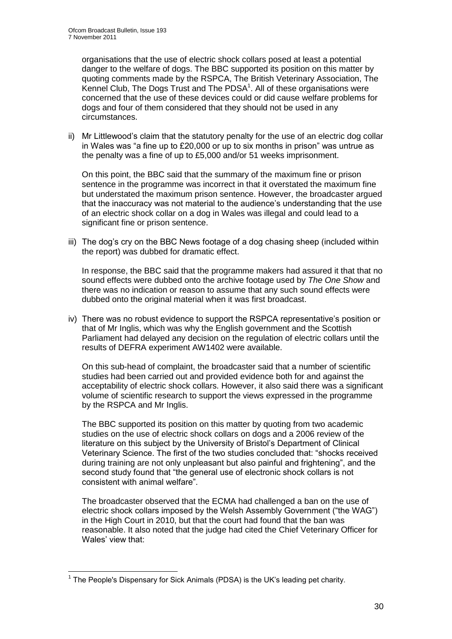organisations that the use of electric shock collars posed at least a potential danger to the welfare of dogs. The BBC supported its position on this matter by quoting comments made by the RSPCA, The British Veterinary Association, The Kennel Club, The Dogs Trust and The  $PDSA^1$ . All of these organisations were concerned that the use of these devices could or did cause welfare problems for dogs and four of them considered that they should not be used in any circumstances.

ii) Mr Littlewood"s claim that the statutory penalty for the use of an electric dog collar in Wales was "a fine up to £20,000 or up to six months in prison" was untrue as the penalty was a fine of up to £5,000 and/or 51 weeks imprisonment.

On this point, the BBC said that the summary of the maximum fine or prison sentence in the programme was incorrect in that it overstated the maximum fine but understated the maximum prison sentence. However, the broadcaster argued that the inaccuracy was not material to the audience"s understanding that the use of an electric shock collar on a dog in Wales was illegal and could lead to a significant fine or prison sentence.

iii) The dog's cry on the BBC News footage of a dog chasing sheep (included within the report) was dubbed for dramatic effect.

In response, the BBC said that the programme makers had assured it that that no sound effects were dubbed onto the archive footage used by *The One Show* and there was no indication or reason to assume that any such sound effects were dubbed onto the original material when it was first broadcast.

iv) There was no robust evidence to support the RSPCA representative"s position or that of Mr Inglis, which was why the English government and the Scottish Parliament had delayed any decision on the regulation of electric collars until the results of DEFRA experiment AW1402 were available.

On this sub-head of complaint, the broadcaster said that a number of scientific studies had been carried out and provided evidence both for and against the acceptability of electric shock collars. However, it also said there was a significant volume of scientific research to support the views expressed in the programme by the RSPCA and Mr Inglis.

The BBC supported its position on this matter by quoting from two academic studies on the use of electric shock collars on dogs and a 2006 review of the literature on this subject by the University of Bristol"s Department of Clinical Veterinary Science. The first of the two studies concluded that: "shocks received during training are not only unpleasant but also painful and frightening", and the second study found that "the general use of electronic shock collars is not consistent with animal welfare".

The broadcaster observed that the ECMA had challenged a ban on the use of electric shock collars imposed by the Welsh Assembly Government ("the WAG") in the High Court in 2010, but that the court had found that the ban was reasonable. It also noted that the judge had cited the Chief Veterinary Officer for Wales' view that:

<sup>1</sup>  $1$  The People's Dispensary for Sick Animals (PDSA) is the UK's leading pet charity.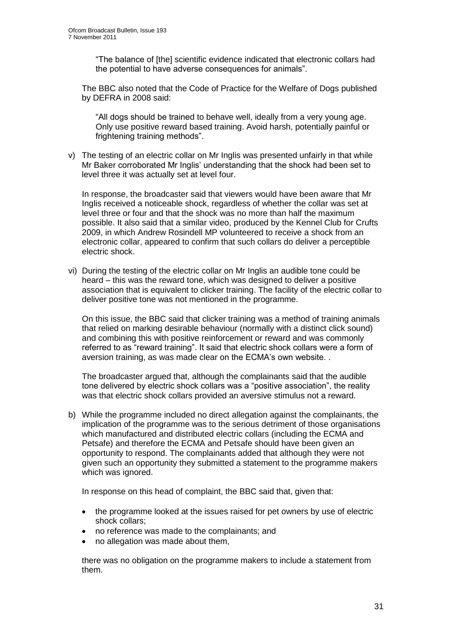"The balance of [the] scientific evidence indicated that electronic collars had the potential to have adverse consequences for animals".

The BBC also noted that the Code of Practice for the Welfare of Dogs published by DEFRA in 2008 said:

"All dogs should be trained to behave well, ideally from a very young age. Only use positive reward based training. Avoid harsh, potentially painful or frightening training methods".

v) The testing of an electric collar on Mr Inglis was presented unfairly in that while Mr Baker corroborated Mr Inglis" understanding that the shock had been set to level three it was actually set at level four.

In response, the broadcaster said that viewers would have been aware that Mr Inglis received a noticeable shock, regardless of whether the collar was set at level three or four and that the shock was no more than half the maximum possible. It also said that a similar video, produced by the Kennel Club for Crufts 2009, in which Andrew Rosindell MP volunteered to receive a shock from an electronic collar, appeared to confirm that such collars do deliver a perceptible electric shock.

vi) During the testing of the electric collar on Mr Inglis an audible tone could be heard – this was the reward tone, which was designed to deliver a positive association that is equivalent to clicker training. The facility of the electric collar to deliver positive tone was not mentioned in the programme.

On this issue, the BBC said that clicker training was a method of training animals that relied on marking desirable behaviour (normally with a distinct click sound) and combining this with positive reinforcement or reward and was commonly referred to as "reward training". It said that electric shock collars were a form of aversion training, as was made clear on the ECMA"s own website. .

The broadcaster argued that, although the complainants said that the audible tone delivered by electric shock collars was a "positive association", the reality was that electric shock collars provided an aversive stimulus not a reward.

b) While the programme included no direct allegation against the complainants, the implication of the programme was to the serious detriment of those organisations which manufactured and distributed electric collars (including the ECMA and Petsafe) and therefore the ECMA and Petsafe should have been given an opportunity to respond. The complainants added that although they were not given such an opportunity they submitted a statement to the programme makers which was ignored.

In response on this head of complaint, the BBC said that, given that:

- the programme looked at the issues raised for pet owners by use of electric shock collars;
- no reference was made to the complainants; and
- no allegation was made about them,

there was no obligation on the programme makers to include a statement from them.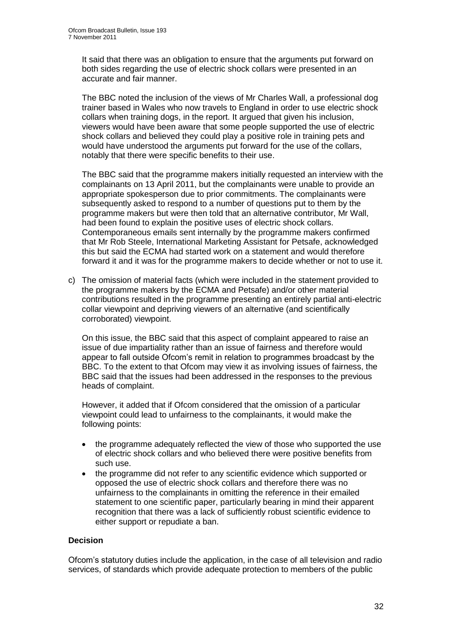It said that there was an obligation to ensure that the arguments put forward on both sides regarding the use of electric shock collars were presented in an accurate and fair manner.

The BBC noted the inclusion of the views of Mr Charles Wall, a professional dog trainer based in Wales who now travels to England in order to use electric shock collars when training dogs, in the report. It argued that given his inclusion, viewers would have been aware that some people supported the use of electric shock collars and believed they could play a positive role in training pets and would have understood the arguments put forward for the use of the collars, notably that there were specific benefits to their use.

The BBC said that the programme makers initially requested an interview with the complainants on 13 April 2011, but the complainants were unable to provide an appropriate spokesperson due to prior commitments. The complainants were subsequently asked to respond to a number of questions put to them by the programme makers but were then told that an alternative contributor, Mr Wall, had been found to explain the positive uses of electric shock collars. Contemporaneous emails sent internally by the programme makers confirmed that Mr Rob Steele, International Marketing Assistant for Petsafe, acknowledged this but said the ECMA had started work on a statement and would therefore forward it and it was for the programme makers to decide whether or not to use it.

c) The omission of material facts (which were included in the statement provided to the programme makers by the ECMA and Petsafe) and/or other material contributions resulted in the programme presenting an entirely partial anti-electric collar viewpoint and depriving viewers of an alternative (and scientifically corroborated) viewpoint.

On this issue, the BBC said that this aspect of complaint appeared to raise an issue of due impartiality rather than an issue of fairness and therefore would appear to fall outside Ofcom"s remit in relation to programmes broadcast by the BBC. To the extent to that Ofcom may view it as involving issues of fairness, the BBC said that the issues had been addressed in the responses to the previous heads of complaint.

However, it added that if Ofcom considered that the omission of a particular viewpoint could lead to unfairness to the complainants, it would make the following points:

- the programme adequately reflected the view of those who supported the use of electric shock collars and who believed there were positive benefits from such use.
- the programme did not refer to any scientific evidence which supported or opposed the use of electric shock collars and therefore there was no unfairness to the complainants in omitting the reference in their emailed statement to one scientific paper, particularly bearing in mind their apparent recognition that there was a lack of sufficiently robust scientific evidence to either support or repudiate a ban.

#### **Decision**

Ofcom"s statutory duties include the application, in the case of all television and radio services, of standards which provide adequate protection to members of the public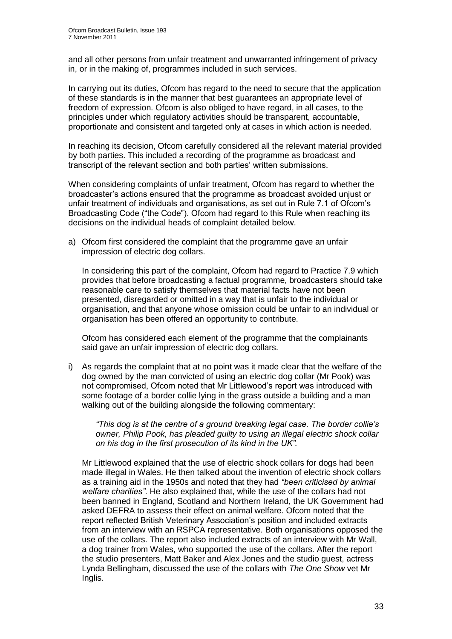and all other persons from unfair treatment and unwarranted infringement of privacy in, or in the making of, programmes included in such services.

In carrying out its duties, Ofcom has regard to the need to secure that the application of these standards is in the manner that best guarantees an appropriate level of freedom of expression. Ofcom is also obliged to have regard, in all cases, to the principles under which regulatory activities should be transparent, accountable, proportionate and consistent and targeted only at cases in which action is needed.

In reaching its decision, Ofcom carefully considered all the relevant material provided by both parties. This included a recording of the programme as broadcast and transcript of the relevant section and both parties" written submissions.

When considering complaints of unfair treatment, Ofcom has regard to whether the broadcaster"s actions ensured that the programme as broadcast avoided unjust or unfair treatment of individuals and organisations, as set out in Rule 7.1 of Ofcom"s Broadcasting Code ("the Code"). Ofcom had regard to this Rule when reaching its decisions on the individual heads of complaint detailed below.

a) Ofcom first considered the complaint that the programme gave an unfair impression of electric dog collars.

In considering this part of the complaint, Ofcom had regard to Practice 7.9 which provides that before broadcasting a factual programme, broadcasters should take reasonable care to satisfy themselves that material facts have not been presented, disregarded or omitted in a way that is unfair to the individual or organisation, and that anyone whose omission could be unfair to an individual or organisation has been offered an opportunity to contribute.

Ofcom has considered each element of the programme that the complainants said gave an unfair impression of electric dog collars.

i) As regards the complaint that at no point was it made clear that the welfare of the dog owned by the man convicted of using an electric dog collar (Mr Pook) was not compromised, Ofcom noted that Mr Littlewood"s report was introduced with some footage of a border collie lying in the grass outside a building and a man walking out of the building alongside the following commentary:

*"This dog is at the centre of a ground breaking legal case. The border collie's owner, Philip Pook, has pleaded guilty to using an illegal electric shock collar on his dog in the first prosecution of its kind in the UK".*

Mr Littlewood explained that the use of electric shock collars for dogs had been made illegal in Wales. He then talked about the invention of electric shock collars as a training aid in the 1950s and noted that they had *"been criticised by animal welfare charities"*. He also explained that, while the use of the collars had not been banned in England, Scotland and Northern Ireland, the UK Government had asked DEFRA to assess their effect on animal welfare. Ofcom noted that the report reflected British Veterinary Association"s position and included extracts from an interview with an RSPCA representative. Both organisations opposed the use of the collars. The report also included extracts of an interview with Mr Wall, a dog trainer from Wales, who supported the use of the collars. After the report the studio presenters, Matt Baker and Alex Jones and the studio guest, actress Lynda Bellingham, discussed the use of the collars with *The One Show* vet Mr Inglis.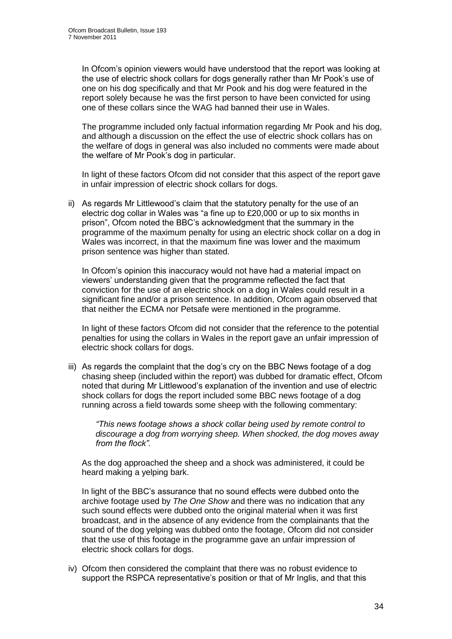In Ofcom"s opinion viewers would have understood that the report was looking at the use of electric shock collars for dogs generally rather than Mr Pook"s use of one on his dog specifically and that Mr Pook and his dog were featured in the report solely because he was the first person to have been convicted for using one of these collars since the WAG had banned their use in Wales.

The programme included only factual information regarding Mr Pook and his dog, and although a discussion on the effect the use of electric shock collars has on the welfare of dogs in general was also included no comments were made about the welfare of Mr Pook's dog in particular.

In light of these factors Ofcom did not consider that this aspect of the report gave in unfair impression of electric shock collars for dogs.

ii) As regards Mr Littlewood"s claim that the statutory penalty for the use of an electric dog collar in Wales was "a fine up to £20,000 or up to six months in prison", Ofcom noted the BBC"s acknowledgment that the summary in the programme of the maximum penalty for using an electric shock collar on a dog in Wales was incorrect, in that the maximum fine was lower and the maximum prison sentence was higher than stated.

In Ofcom"s opinion this inaccuracy would not have had a material impact on viewers" understanding given that the programme reflected the fact that conviction for the use of an electric shock on a dog in Wales could result in a significant fine and/or a prison sentence. In addition, Ofcom again observed that that neither the ECMA nor Petsafe were mentioned in the programme.

In light of these factors Ofcom did not consider that the reference to the potential penalties for using the collars in Wales in the report gave an unfair impression of electric shock collars for dogs.

iii) As regards the complaint that the dog's cry on the BBC News footage of a dog chasing sheep (included within the report) was dubbed for dramatic effect, Ofcom noted that during Mr Littlewood"s explanation of the invention and use of electric shock collars for dogs the report included some BBC news footage of a dog running across a field towards some sheep with the following commentary:

*"This news footage shows a shock collar being used by remote control to discourage a dog from worrying sheep. When shocked, the dog moves away from the flock".*

As the dog approached the sheep and a shock was administered, it could be heard making a yelping bark.

In light of the BBC"s assurance that no sound effects were dubbed onto the archive footage used by *The One Show* and there was no indication that any such sound effects were dubbed onto the original material when it was first broadcast, and in the absence of any evidence from the complainants that the sound of the dog yelping was dubbed onto the footage, Ofcom did not consider that the use of this footage in the programme gave an unfair impression of electric shock collars for dogs.

iv) Ofcom then considered the complaint that there was no robust evidence to support the RSPCA representative's position or that of Mr Inglis, and that this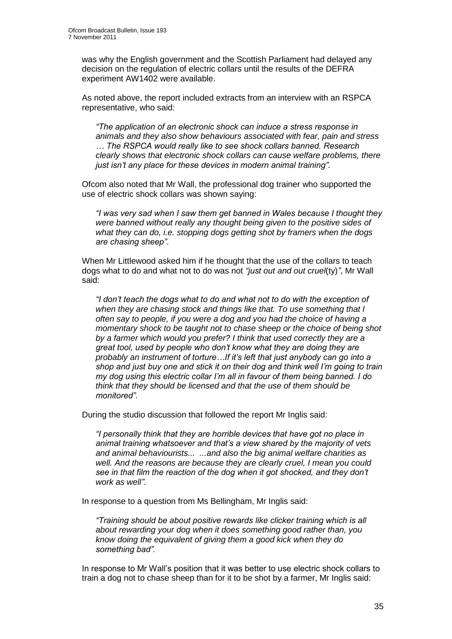was why the English government and the Scottish Parliament had delayed any decision on the regulation of electric collars until the results of the DEFRA experiment AW1402 were available.

As noted above, the report included extracts from an interview with an RSPCA representative, who said:

*"The application of an electronic shock can induce a stress response in animals and they also show behaviours associated with fear, pain and stress … The RSPCA would really like to see shock collars banned. Research clearly shows that electronic shock collars can cause welfare problems, there just isn't any place for these devices in modern animal training".*

Ofcom also noted that Mr Wall, the professional dog trainer who supported the use of electric shock collars was shown saying:

*"I was very sad when I saw them get banned in Wales because I thought they were banned without really any thought being given to the positive sides of what they can do, i.e. stopping dogs getting shot by framers when the dogs are chasing sheep"*.

When Mr Littlewood asked him if he thought that the use of the collars to teach dogs what to do and what not to do was not *"just out and out cruel*(ty)*"*, Mr Wall said:

*"I don't teach the dogs what to do and what not to do with the exception of when they are chasing stock and things like that. To use something that I often say to people, if you were a dog and you had the choice of having a momentary shock to be taught not to chase sheep or the choice of being shot by a farmer which would you prefer? I think that used correctly they are a great tool, used by people who don't know what they are doing they are probably an instrument of torture…If it's left that just anybody can go into a shop and just buy one and stick it on their dog and think well I'm going to train my dog using this electric collar I'm all in favour of them being banned. I do think that they should be licensed and that the use of them should be monitored".*

During the studio discussion that followed the report Mr Inglis said:

*"I personally think that they are horrible devices that have got no place in animal training whatsoever and that's a view shared by the majority of vets and animal behaviourists... ...and also the big animal welfare charities as well. And the reasons are because they are clearly cruel, I mean you could see in that film the reaction of the dog when it got shocked, and they don't work as well".* 

In response to a question from Ms Bellingham, Mr Inglis said:

*"Training should be about positive rewards like clicker training which is all about rewarding your dog when it does something good rather than, you know doing the equivalent of giving them a good kick when they do something bad".*

In response to Mr Wall"s position that it was better to use electric shock collars to train a dog not to chase sheep than for it to be shot by a farmer, Mr Inglis said: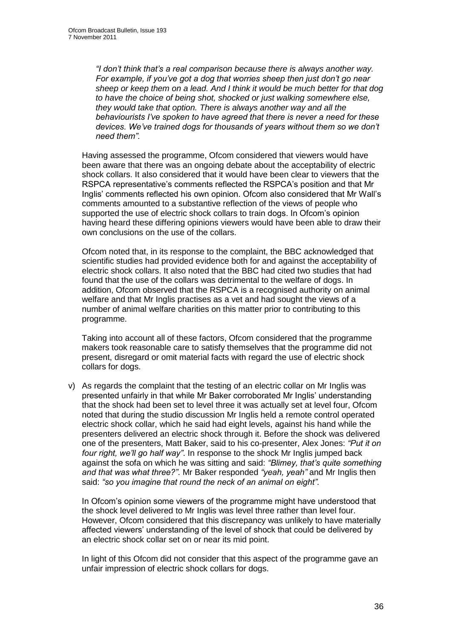*"I don't think that's a real comparison because there is always another way. For example, if you've got a dog that worries sheep then just don't go near sheep or keep them on a lead. And I think it would be much better for that dog to have the choice of being shot, shocked or just walking somewhere else, they would take that option. There is always another way and all the behaviourists I've spoken to have agreed that there is never a need for these devices. We've trained dogs for thousands of years without them so we don't need them".* 

Having assessed the programme, Ofcom considered that viewers would have been aware that there was an ongoing debate about the acceptability of electric shock collars. It also considered that it would have been clear to viewers that the RSPCA representative"s comments reflected the RSPCA"s position and that Mr Inglis" comments reflected his own opinion. Ofcom also considered that Mr Wall"s comments amounted to a substantive reflection of the views of people who supported the use of electric shock collars to train dogs. In Ofcom"s opinion having heard these differing opinions viewers would have been able to draw their own conclusions on the use of the collars.

Ofcom noted that, in its response to the complaint, the BBC acknowledged that scientific studies had provided evidence both for and against the acceptability of electric shock collars. It also noted that the BBC had cited two studies that had found that the use of the collars was detrimental to the welfare of dogs. In addition, Ofcom observed that the RSPCA is a recognised authority on animal welfare and that Mr Inglis practises as a vet and had sought the views of a number of animal welfare charities on this matter prior to contributing to this programme.

Taking into account all of these factors, Ofcom considered that the programme makers took reasonable care to satisfy themselves that the programme did not present, disregard or omit material facts with regard the use of electric shock collars for dogs.

v) As regards the complaint that the testing of an electric collar on Mr Inglis was presented unfairly in that while Mr Baker corroborated Mr Inglis" understanding that the shock had been set to level three it was actually set at level four, Ofcom noted that during the studio discussion Mr Inglis held a remote control operated electric shock collar, which he said had eight levels, against his hand while the presenters delivered an electric shock through it. Before the shock was delivered one of the presenters, Matt Baker, said to his co-presenter, Alex Jones: *"Put it on four right, we'll go half way"*. In response to the shock Mr Inglis jumped back against the sofa on which he was sitting and said: *"Blimey, that's quite something and that was what three?"*. Mr Baker responded *"yeah, yeah"* and Mr Inglis then said: *"so you imagine that round the neck of an animal on eight".* 

In Ofcom"s opinion some viewers of the programme might have understood that the shock level delivered to Mr Inglis was level three rather than level four. However, Ofcom considered that this discrepancy was unlikely to have materially affected viewers' understanding of the level of shock that could be delivered by an electric shock collar set on or near its mid point.

In light of this Ofcom did not consider that this aspect of the programme gave an unfair impression of electric shock collars for dogs.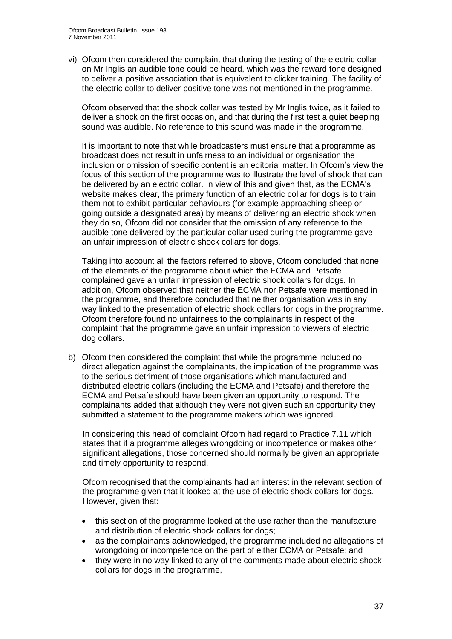vi) Ofcom then considered the complaint that during the testing of the electric collar on Mr Inglis an audible tone could be heard, which was the reward tone designed to deliver a positive association that is equivalent to clicker training. The facility of the electric collar to deliver positive tone was not mentioned in the programme.

Ofcom observed that the shock collar was tested by Mr Inglis twice, as it failed to deliver a shock on the first occasion, and that during the first test a quiet beeping sound was audible. No reference to this sound was made in the programme.

It is important to note that while broadcasters must ensure that a programme as broadcast does not result in unfairness to an individual or organisation the inclusion or omission of specific content is an editorial matter. In Ofcom"s view the focus of this section of the programme was to illustrate the level of shock that can be delivered by an electric collar. In view of this and given that, as the ECMA"s website makes clear, the primary function of an electric collar for dogs is to train them not to exhibit particular behaviours (for example approaching sheep or going outside a designated area) by means of delivering an electric shock when they do so, Ofcom did not consider that the omission of any reference to the audible tone delivered by the particular collar used during the programme gave an unfair impression of electric shock collars for dogs.

Taking into account all the factors referred to above, Ofcom concluded that none of the elements of the programme about which the ECMA and Petsafe complained gave an unfair impression of electric shock collars for dogs. In addition, Ofcom observed that neither the ECMA nor Petsafe were mentioned in the programme, and therefore concluded that neither organisation was in any way linked to the presentation of electric shock collars for dogs in the programme. Ofcom therefore found no unfairness to the complainants in respect of the complaint that the programme gave an unfair impression to viewers of electric dog collars.

b) Ofcom then considered the complaint that while the programme included no direct allegation against the complainants, the implication of the programme was to the serious detriment of those organisations which manufactured and distributed electric collars (including the ECMA and Petsafe) and therefore the ECMA and Petsafe should have been given an opportunity to respond. The complainants added that although they were not given such an opportunity they submitted a statement to the programme makers which was ignored.

In considering this head of complaint Ofcom had regard to Practice 7.11 which states that if a programme alleges wrongdoing or incompetence or makes other significant allegations, those concerned should normally be given an appropriate and timely opportunity to respond.

Ofcom recognised that the complainants had an interest in the relevant section of the programme given that it looked at the use of electric shock collars for dogs. However, given that:

- this section of the programme looked at the use rather than the manufacture and distribution of electric shock collars for dogs;
- as the complainants acknowledged, the programme included no allegations of wrongdoing or incompetence on the part of either ECMA or Petsafe; and
- they were in no way linked to any of the comments made about electric shock collars for dogs in the programme,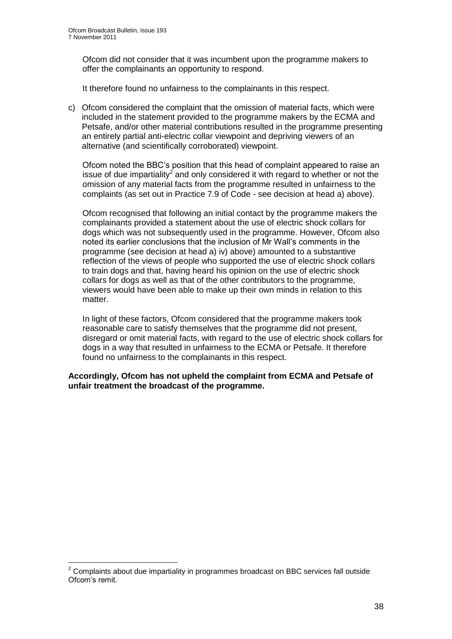Ofcom did not consider that it was incumbent upon the programme makers to offer the complainants an opportunity to respond.

It therefore found no unfairness to the complainants in this respect.

c) Ofcom considered the complaint that the omission of material facts, which were included in the statement provided to the programme makers by the ECMA and Petsafe, and/or other material contributions resulted in the programme presenting an entirely partial anti-electric collar viewpoint and depriving viewers of an alternative (and scientifically corroborated) viewpoint.

Ofcom noted the BBC"s position that this head of complaint appeared to raise an issue of due impartiality<sup>2</sup> and only considered it with regard to whether or not the omission of any material facts from the programme resulted in unfairness to the complaints (as set out in Practice 7.9 of Code - see decision at head a) above).

Ofcom recognised that following an initial contact by the programme makers the complainants provided a statement about the use of electric shock collars for dogs which was not subsequently used in the programme. However, Ofcom also noted its earlier conclusions that the inclusion of Mr Wall"s comments in the programme (see decision at head a) iv) above) amounted to a substantive reflection of the views of people who supported the use of electric shock collars to train dogs and that, having heard his opinion on the use of electric shock collars for dogs as well as that of the other contributors to the programme, viewers would have been able to make up their own minds in relation to this matter.

In light of these factors, Ofcom considered that the programme makers took reasonable care to satisfy themselves that the programme did not present, disregard or omit material facts, with regard to the use of electric shock collars for dogs in a way that resulted in unfairness to the ECMA or Petsafe. It therefore found no unfairness to the complainants in this respect.

**Accordingly, Ofcom has not upheld the complaint from ECMA and Petsafe of unfair treatment the broadcast of the programme.** 

1

 $2$  Complaints about due impartiality in programmes broadcast on BBC services fall outside Ofcom"s remit.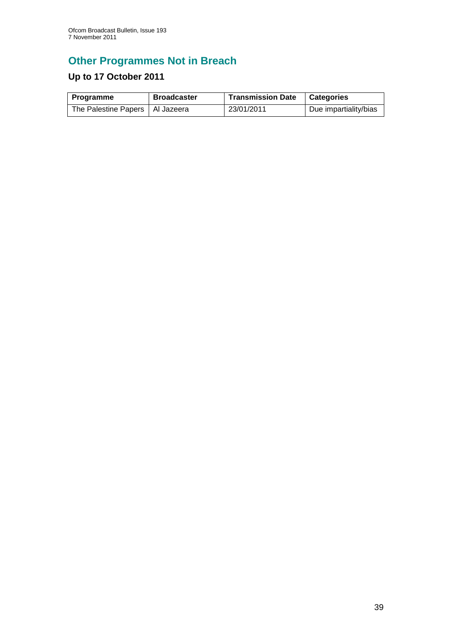# **Other Programmes Not in Breach**

# **Up to 17 October 2011**

| Programme                         | <b>Broadcaster</b> | <b>Transmission Date</b> | <b>Categories</b>     |
|-----------------------------------|--------------------|--------------------------|-----------------------|
| The Palestine Papers   Al Jazeera |                    | 23/01/2011               | Due impartiality/bias |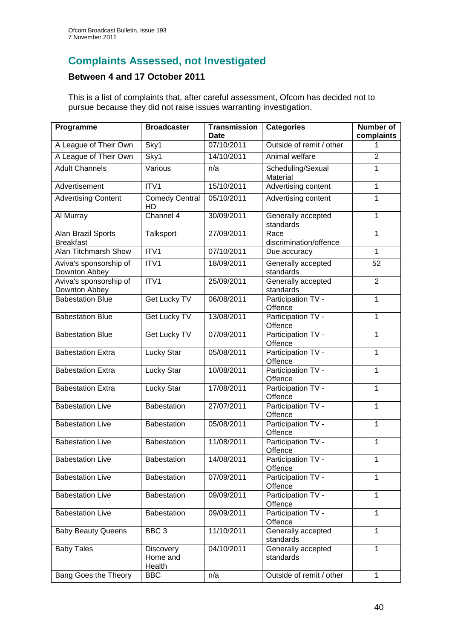# **Complaints Assessed, not Investigated**

## **Between 4 and 17 October 2011**

This is a list of complaints that, after careful assessment, Ofcom has decided not to pursue because they did not raise issues warranting investigation.

| Programme                               | <b>Broadcaster</b>                     | <b>Transmission</b><br><b>Date</b> | <b>Categories</b>               | <b>Number of</b><br>complaints |
|-----------------------------------------|----------------------------------------|------------------------------------|---------------------------------|--------------------------------|
| A League of Their Own                   | Sky1                                   | 07/10/2011                         | Outside of remit / other        | 1                              |
| A League of Their Own                   | Sky1                                   | 14/10/2011                         | Animal welfare                  | $\overline{2}$                 |
| <b>Adult Channels</b>                   | Various                                | n/a                                | Scheduling/Sexual<br>Material   | 1                              |
| Advertisement                           | ITV1                                   | 15/10/2011                         | Advertising content             | $\mathbf{1}$                   |
| <b>Advertising Content</b>              | <b>Comedy Central</b><br>HD            | 05/10/2011                         | Advertising content             | $\mathbf{1}$                   |
| Al Murray                               | Channel 4                              | 30/09/2011                         | Generally accepted<br>standards | $\mathbf{1}$                   |
| Alan Brazil Sports<br><b>Breakfast</b>  | Talksport                              | 27/09/2011                         | Race<br>discrimination/offence  | $\mathbf{1}$                   |
| Alan Titchmarsh Show                    | ITV1                                   | 07/10/2011                         | Due accuracy                    | $\overline{1}$                 |
| Aviva's sponsorship of<br>Downton Abbey | ITV1                                   | 18/09/2011                         | Generally accepted<br>standards | 52                             |
| Aviva's sponsorship of<br>Downton Abbey | ITV1                                   | 25/09/2011                         | Generally accepted<br>standards | $\overline{2}$                 |
| <b>Babestation Blue</b>                 | Get Lucky TV                           | 06/08/2011                         | Participation TV -<br>Offence   | 1                              |
| <b>Babestation Blue</b>                 | Get Lucky TV                           | 13/08/2011                         | Participation TV -<br>Offence   | $\mathbf{1}$                   |
| <b>Babestation Blue</b>                 | Get Lucky TV                           | 07/09/2011                         | Participation TV -<br>Offence   | $\mathbf{1}$                   |
| <b>Babestation Extra</b>                | <b>Lucky Star</b>                      | 05/08/2011                         | Participation TV -<br>Offence   | $\mathbf{1}$                   |
| <b>Babestation Extra</b>                | Lucky Star                             | 10/08/2011                         | Participation TV -<br>Offence   | $\mathbf{1}$                   |
| <b>Babestation Extra</b>                | Lucky Star                             | 17/08/2011                         | Participation TV -<br>Offence   | $\mathbf{1}$                   |
| <b>Babestation Live</b>                 | Babestation                            | 27/07/2011                         | Participation TV -<br>Offence   | $\mathbf{1}$                   |
| <b>Babestation Live</b>                 | <b>Babestation</b>                     | 05/08/2011                         | Participation TV -<br>Offence   | $\mathbf{1}$                   |
| <b>Babestation Live</b>                 | Babestation                            | 11/08/2011                         | Participation TV -<br>Offence   | $\mathbf{1}$                   |
| <b>Babestation Live</b>                 | <b>Babestation</b>                     | 14/08/2011                         | Participation TV -<br>Offence   | $\mathbf{1}$                   |
| <b>Babestation Live</b>                 | Babestation                            | 07/09/2011                         | Participation TV -<br>Offence   | 1                              |
| <b>Babestation Live</b>                 | Babestation                            | 09/09/2011                         | Participation TV -<br>Offence   | $\mathbf{1}$                   |
| <b>Babestation Live</b>                 | Babestation                            | 09/09/2011                         | Participation TV -<br>Offence   | 1                              |
| <b>Baby Beauty Queens</b>               | BBC <sub>3</sub>                       | 11/10/2011                         | Generally accepted<br>standards | 1                              |
| <b>Baby Tales</b>                       | <b>Discovery</b><br>Home and<br>Health | 04/10/2011                         | Generally accepted<br>standards | 1                              |
| Bang Goes the Theory                    | <b>BBC</b>                             | n/a                                | Outside of remit / other        | $\mathbf{1}$                   |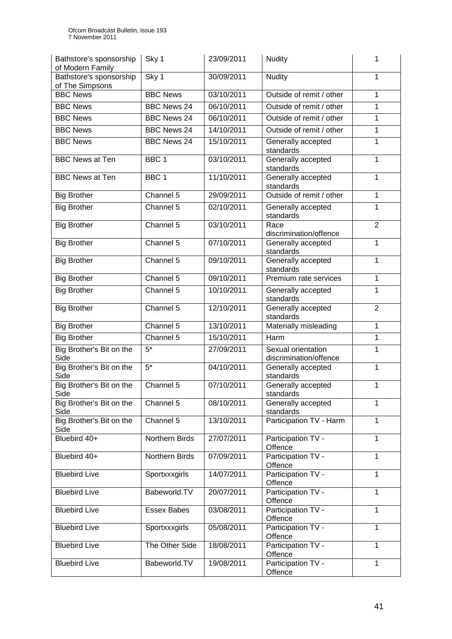| Bathstore's sponsorship<br>of Modern Family | Sky 1              | 23/09/2011 | <b>Nudity</b>                                | 1              |
|---------------------------------------------|--------------------|------------|----------------------------------------------|----------------|
| Bathstore's sponsorship<br>of The Simpsons  | Sky 1              | 30/09/2011 | <b>Nudity</b>                                | 1              |
| <b>BBC News</b>                             | <b>BBC News</b>    | 03/10/2011 | Outside of remit / other                     | 1              |
| <b>BBC News</b>                             | <b>BBC News 24</b> | 06/10/2011 | Outside of remit / other                     | 1              |
| <b>BBC News</b>                             | <b>BBC News 24</b> | 06/10/2011 | Outside of remit / other                     | 1              |
| <b>BBC News</b>                             | <b>BBC News 24</b> | 14/10/2011 | Outside of remit / other                     | 1              |
| <b>BBC News</b>                             | <b>BBC News 24</b> | 15/10/2011 | Generally accepted                           | 1              |
|                                             |                    |            | standards                                    |                |
| <b>BBC News at Ten</b>                      | BBC <sub>1</sub>   | 03/10/2011 | Generally accepted                           | 1              |
| <b>BBC News at Ten</b>                      | BBC <sub>1</sub>   | 11/10/2011 | standards                                    | 1              |
|                                             |                    |            | Generally accepted<br>standards              |                |
| <b>Big Brother</b>                          | Channel 5          | 29/09/2011 | Outside of remit / other                     | 1              |
| <b>Big Brother</b>                          | Channel 5          | 02/10/2011 | Generally accepted                           | 1              |
|                                             |                    |            | standards                                    |                |
| <b>Big Brother</b>                          | Channel 5          | 03/10/2011 | Race                                         | $\overline{2}$ |
| <b>Big Brother</b>                          | Channel 5          | 07/10/2011 | discrimination/offence<br>Generally accepted | 1              |
|                                             |                    |            | standards                                    |                |
| <b>Big Brother</b>                          | Channel 5          | 09/10/2011 | Generally accepted                           | 1              |
|                                             |                    |            | standards                                    |                |
| <b>Big Brother</b>                          | Channel 5          | 09/10/2011 | Premium rate services                        | 1              |
| <b>Big Brother</b>                          | Channel 5          | 10/10/2011 | Generally accepted<br>standards              | 1              |
| <b>Big Brother</b>                          | Channel 5          | 12/10/2011 | Generally accepted                           | $\overline{2}$ |
|                                             |                    |            | standards                                    |                |
| <b>Big Brother</b>                          | Channel 5          | 13/10/2011 | Materially misleading                        | 1              |
| <b>Big Brother</b>                          | Channel 5          | 15/10/2011 | Harm                                         | 1              |
| Big Brother's Bit on the<br>Side            | $5*$               | 27/09/2011 | Sexual orientation<br>discrimination/offence | 1              |
| Big Brother's Bit on the                    | $\overline{5^*}$   | 04/10/2011 | Generally accepted                           | 1              |
| Side                                        |                    |            | standards                                    |                |
| Big Brother's Bit on the<br>Side            | Channel 5          | 07/10/2011 | Generally accepted                           | 1              |
| Big Brother's Bit on the                    | Channel 5          | 08/10/2011 | standards<br>Generally accepted              | 1              |
| Side                                        |                    |            | standards                                    |                |
| Big Brother's Bit on the<br>Side            | Channel 5          | 13/10/2011 | Participation TV - Harm                      | 1              |
| Bluebird 40+                                | Northern Birds     | 27/07/2011 | Participation TV -<br>Offence                | 1              |
| Bluebird 40+                                | Northern Birds     | 07/09/2011 | Participation TV -                           | 1              |
|                                             |                    |            | Offence                                      |                |
| <b>Bluebird Live</b>                        | Sportxxxgirls      | 14/07/2011 | Participation TV -<br>Offence                | 1              |
| <b>Bluebird Live</b>                        | Babeworld.TV       | 20/07/2011 | Participation TV -<br>Offence                | $\mathbf{1}$   |
| <b>Bluebird Live</b>                        | <b>Essex Babes</b> | 03/08/2011 | Participation TV -                           | $\mathbf{1}$   |
| <b>Bluebird Live</b>                        |                    | 05/08/2011 | Offence<br>Participation TV -                | 1              |
|                                             | Sportxxxgirls      |            | Offence                                      |                |
| <b>Bluebird Live</b>                        | The Other Side     | 18/08/2011 | Participation TV -                           | $\mathbf{1}$   |
|                                             |                    |            | Offence                                      |                |
| <b>Bluebird Live</b>                        | Babeworld.TV       | 19/08/2011 | Participation TV -<br>Offence                | $\mathbf{1}$   |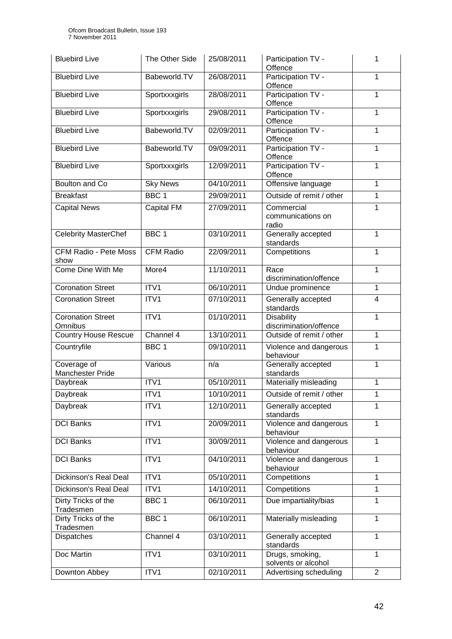| <b>Bluebird Live</b>                 | The Other Side   | 25/08/2011 | Participation TV -<br>Offence               | 1              |
|--------------------------------------|------------------|------------|---------------------------------------------|----------------|
| <b>Bluebird Live</b>                 | Babeworld.TV     | 26/08/2011 | Participation TV -<br>Offence               | 1              |
| <b>Bluebird Live</b>                 | Sportxxxgirls    | 28/08/2011 | Participation TV -<br>Offence               | $\mathbf{1}$   |
| <b>Bluebird Live</b>                 | Sportxxxgirls    | 29/08/2011 | Participation TV -<br>Offence               | 1              |
| <b>Bluebird Live</b>                 | Babeworld.TV     | 02/09/2011 | Participation TV -<br>Offence               | 1              |
| <b>Bluebird Live</b>                 | Babeworld.TV     | 09/09/2011 | Participation TV -<br>Offence               | 1              |
| <b>Bluebird Live</b>                 | Sportxxxgirls    | 12/09/2011 | Participation TV -<br>Offence               | 1              |
| Boulton and Co                       | <b>Sky News</b>  | 04/10/2011 | Offensive language                          | 1              |
| <b>Breakfast</b>                     | BBC <sub>1</sub> | 29/09/2011 | Outside of remit / other                    | 1              |
| <b>Capital News</b>                  | Capital FM       | 27/09/2011 | Commercial<br>communications on<br>radio    | $\mathbf{1}$   |
| <b>Celebrity MasterChef</b>          | BBC <sub>1</sub> | 03/10/2011 | Generally accepted<br>standards             | 1              |
| <b>CFM Radio - Pete Moss</b><br>show | <b>CFM Radio</b> | 22/09/2011 | Competitions                                | $\mathbf{1}$   |
| Come Dine With Me                    | More4            | 11/10/2011 | Race<br>discrimination/offence              | 1              |
| <b>Coronation Street</b>             | ITV1             | 06/10/2011 | Undue prominence                            | 1              |
| <b>Coronation Street</b>             | ITV1             | 07/10/2011 | Generally accepted<br>standards             | 4              |
| <b>Coronation Street</b><br>Omnibus  | ITV1             | 01/10/2011 | <b>Disability</b><br>discrimination/offence | $\mathbf{1}$   |
| <b>Country House Rescue</b>          | Channel 4        | 13/10/2011 | Outside of remit / other                    | $\mathbf{1}$   |
| Countryfile                          | BBC <sub>1</sub> | 09/10/2011 | Violence and dangerous<br>behaviour         | 1              |
| Coverage of<br>Manchester Pride      | Various          | n/a        | Generally accepted<br>standards             | $\mathbf{1}$   |
| Daybreak                             | ITV1             | 05/10/2011 | Materially misleading                       | 1              |
| Daybreak                             | $\overline{IV1}$ | 10/10/2011 | Outside of remit / other                    | 1              |
| Daybreak                             | ITV1             | 12/10/2011 | Generally accepted<br>standards             | 1              |
| <b>DCI Banks</b>                     | ITV1             | 20/09/2011 | Violence and dangerous<br>behaviour         | $\mathbf{1}$   |
| <b>DCI Banks</b>                     | ITV1             | 30/09/2011 | Violence and dangerous<br>behaviour         | $\mathbf{1}$   |
| <b>DCI Banks</b>                     | ITV1             | 04/10/2011 | Violence and dangerous<br>behaviour         | $\mathbf{1}$   |
| Dickinson's Real Deal                | ITV1             | 05/10/2011 | Competitions                                | $\mathbf{1}$   |
| Dickinson's Real Deal                | ITVI             | 14/10/2011 | Competitions                                | 1              |
| Dirty Tricks of the<br>Tradesmen     | BBC 1            | 06/10/2011 | Due impartiality/bias                       | $\mathbf{1}$   |
| Dirty Tricks of the<br>Tradesmen     | BBC <sub>1</sub> | 06/10/2011 | Materially misleading                       | 1              |
| Dispatches                           | Channel 4        | 03/10/2011 | Generally accepted<br>standards             | 1              |
| Doc Martin                           | ITV1             | 03/10/2011 | Drugs, smoking,<br>solvents or alcohol      | $\mathbf{1}$   |
| Downton Abbey                        | ITV1             | 02/10/2011 | Advertising scheduling                      | $\overline{2}$ |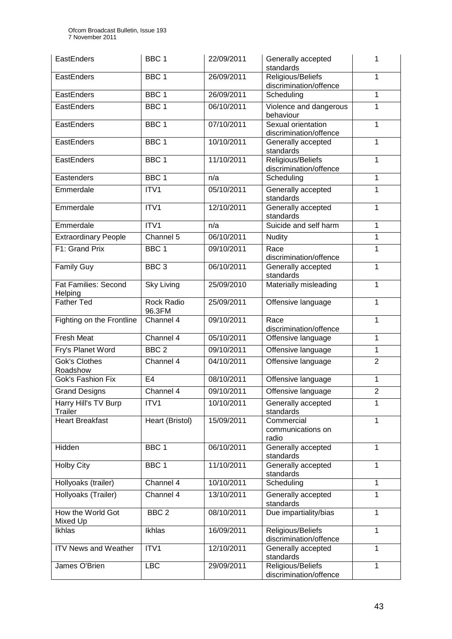| EastEnders                             | BBC <sub>1</sub>     | 22/09/2011 | Generally accepted<br>standards              | 1              |
|----------------------------------------|----------------------|------------|----------------------------------------------|----------------|
| EastEnders                             | BBC <sub>1</sub>     | 26/09/2011 | Religious/Beliefs<br>discrimination/offence  | 1              |
| EastEnders                             | BBC <sub>1</sub>     | 26/09/2011 | Scheduling                                   | 1              |
| EastEnders                             | BBC 1                | 06/10/2011 | Violence and dangerous<br>behaviour          | 1              |
| EastEnders                             | BBC <sub>1</sub>     | 07/10/2011 | Sexual orientation<br>discrimination/offence | $\mathbf{1}$   |
| EastEnders                             | BBC <sub>1</sub>     | 10/10/2011 | Generally accepted<br>standards              | $\mathbf{1}$   |
| EastEnders                             | BBC <sub>1</sub>     | 11/10/2011 | Religious/Beliefs<br>discrimination/offence  | 1              |
| Eastenders                             | BBC <sub>1</sub>     | n/a        | Scheduling                                   | 1              |
| Emmerdale                              | ITV1                 | 05/10/2011 | Generally accepted<br>standards              | 1              |
| Emmerdale                              | ITV1                 | 12/10/2011 | Generally accepted<br>standards              | $\mathbf{1}$   |
| Emmerdale                              | ITV1                 | n/a        | Suicide and self harm                        | $\mathbf{1}$   |
| <b>Extraordinary People</b>            | Channel 5            | 06/10/2011 | <b>Nudity</b>                                | $\mathbf 1$    |
| F1: Grand Prix                         | BBC <sub>1</sub>     | 09/10/2011 | Race<br>discrimination/offence               | 1              |
| <b>Family Guy</b>                      | BBC <sub>3</sub>     | 06/10/2011 | Generally accepted<br>standards              | 1              |
| <b>Fat Families: Second</b><br>Helping | <b>Sky Living</b>    | 25/09/2010 | Materially misleading                        | 1              |
| Father Ted                             | Rock Radio<br>96.3FM | 25/09/2011 | Offensive language                           | 1              |
| Fighting on the Frontline              | Channel 4            | 09/10/2011 | Race<br>discrimination/offence               | $\mathbf{1}$   |
| <b>Fresh Meat</b>                      | Channel 4            | 05/10/2011 | Offensive language                           | 1              |
| Fry's Planet Word                      | BBC <sub>2</sub>     | 09/10/2011 | Offensive language                           | $\mathbf{1}$   |
| <b>Gok's Clothes</b><br>Roadshow       | Channel 4            | 04/10/2011 | Offensive language                           | $\overline{2}$ |
| Gok's Fashion Fix                      | E4                   | 08/10/2011 | Offensive language                           | 1              |
| <b>Grand Designs</b>                   | Channel 4            | 09/10/2011 | Offensive language                           | $\overline{2}$ |
| Harry Hill's TV Burp<br>Trailer        | ITV1                 | 10/10/2011 | Generally accepted<br>standards              | 1              |
| <b>Heart Breakfast</b>                 | Heart (Bristol)      | 15/09/2011 | Commercial<br>communications on<br>radio     | 1              |
| Hidden                                 | BBC 1                | 06/10/2011 | Generally accepted<br>standards              | 1              |
| <b>Holby City</b>                      | BBC 1                | 11/10/2011 | Generally accepted<br>standards              | $\mathbf{1}$   |
| Hollyoaks (trailer)                    | Channel 4            | 10/10/2011 | Scheduling                                   | $\mathbf{1}$   |
| Hollyoaks (Trailer)                    | Channel 4            | 13/10/2011 | Generally accepted<br>standards              | 1              |
| How the World Got<br>Mixed Up          | BBC <sub>2</sub>     | 08/10/2011 | Due impartiality/bias                        | $\mathbf{1}$   |
| Ikhlas                                 | Ikhlas               | 16/09/2011 | Religious/Beliefs<br>discrimination/offence  | $\mathbf{1}$   |
| <b>ITV News and Weather</b>            | ITV1                 | 12/10/2011 | Generally accepted<br>standards              | $\mathbf{1}$   |
| James O'Brien                          | <b>LBC</b>           | 29/09/2011 | Religious/Beliefs<br>discrimination/offence  | $\mathbf{1}$   |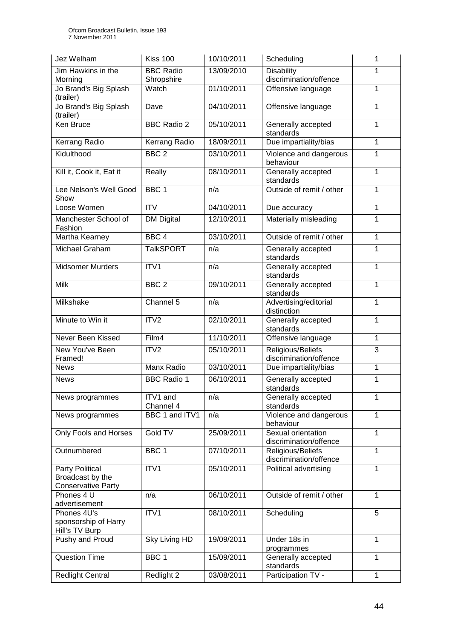| Jez Welham                              | <b>Kiss 100</b>                | 10/10/2011 | Scheduling                                   | 1              |
|-----------------------------------------|--------------------------------|------------|----------------------------------------------|----------------|
| Jim Hawkins in the<br>Morning           | <b>BBC Radio</b><br>Shropshire | 13/09/2010 | <b>Disability</b><br>discrimination/offence  | 1              |
| Jo Brand's Big Splash<br>(trailer)      | Watch                          | 01/10/2011 | Offensive language                           | 1              |
| Jo Brand's Big Splash<br>(trailer)      | Dave                           | 04/10/2011 | Offensive language                           | 1              |
| Ken Bruce                               | <b>BBC Radio 2</b>             | 05/10/2011 | Generally accepted<br>standards              | 1              |
| Kerrang Radio                           | Kerrang Radio                  | 18/09/2011 | Due impartiality/bias                        | 1              |
| Kidulthood                              | BBC <sub>2</sub>               | 03/10/2011 | Violence and dangerous<br>behaviour          | 1              |
| Kill it, Cook it, Eat it                | Really                         | 08/10/2011 | Generally accepted<br>standards              | 1              |
| Lee Nelson's Well Good<br>Show          | BBC <sub>1</sub>               | n/a        | Outside of remit / other                     | 1              |
| Loose Women                             | $\overline{IV}$                | 04/10/2011 | Due accuracy                                 | $\overline{1}$ |
| Manchester School of<br>Fashion         | <b>DM Digital</b>              | 12/10/2011 | Materially misleading                        | 1              |
| <b>Martha Kearney</b>                   | BBC <sub>4</sub>               | 03/10/2011 | Outside of remit / other                     | $\overline{1}$ |
| Michael Graham                          | <b>TalkSPORT</b>               | n/a        | Generally accepted<br>standards              | 1              |
| <b>Midsomer Murders</b>                 | ITV1                           | n/a        | Generally accepted<br>standards              |                |
| <b>Milk</b>                             | BBC <sub>2</sub>               | 09/10/2011 | Generally accepted<br>standards              | 1              |
| Milkshake                               | Channel 5                      | n/a        | Advertising/editorial<br>distinction         | 1              |
| Minute to Win it                        | ITV <sub>2</sub>               | 02/10/2011 | Generally accepted<br>standards              | 1              |
| Never Been Kissed                       | Film4                          | 11/10/2011 | Offensive language                           |                |
| New You've Been<br>Framed!              | ITV <sub>2</sub>               | 05/10/2011 | Religious/Beliefs<br>discrimination/offence  | 3              |
| <b>News</b>                             | Manx Radio                     | 03/10/2011 | Due impartiality/bias                        | 1              |
| <b>News</b>                             | <b>BBC Radio 1</b>             | 06/10/2011 | Generally accepted<br>standards              | $\mathbf{1}$   |
| News programmes                         | ITV1 and<br>Channel 4          | n/a        | Generally accepted<br>standards              | 1              |
| News programmes                         | BBC 1 and ITV1                 | n/a        | Violence and dangerous<br>behaviour          | $\overline{1}$ |
| Only Fools and Horses                   | Gold TV                        | 25/09/2011 | Sexual orientation<br>discrimination/offence | $\mathbf{1}$   |
| Outnumbered                             | BBC 1                          | 07/10/2011 | Religious/Beliefs<br>discrimination/offence  | $\mathbf{1}$   |
| Party Political<br>Broadcast by the     | ITV1                           | 05/10/2011 | Political advertising                        | $\mathbf{1}$   |
| <b>Conservative Party</b><br>Phones 4 U | n/a                            | 06/10/2011 | Outside of remit / other                     | 1              |
| advertisement                           |                                |            |                                              |                |
| Phones 4U's                             | ITVI                           | 08/10/2011 | Scheduling                                   | 5              |
| sponsorship of Harry<br>Hill's TV Burp  |                                |            |                                              |                |
| Pushy and Proud                         | Sky Living HD                  | 19/09/2011 | Under 18s in<br>programmes                   | 1              |
| <b>Question Time</b>                    | BBC <sub>1</sub>               | 15/09/2011 | Generally accepted<br>standards              | $\mathbf{1}$   |
| <b>Redlight Central</b>                 | Redlight 2                     | 03/08/2011 | Participation TV -                           | $\mathbf{1}$   |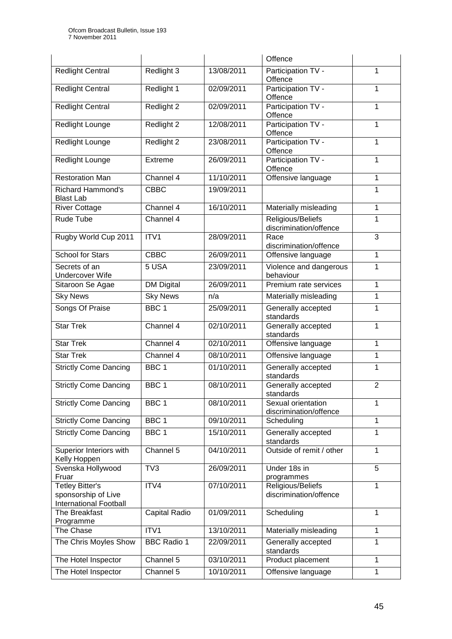|                                                                         |                    |            | Offence                                      |                |
|-------------------------------------------------------------------------|--------------------|------------|----------------------------------------------|----------------|
| <b>Redlight Central</b>                                                 | Redlight 3         | 13/08/2011 | Participation TV -<br>Offence                | 1              |
| <b>Redlight Central</b>                                                 | Redlight 1         | 02/09/2011 | Participation TV -<br>Offence                | 1              |
| <b>Redlight Central</b>                                                 | Redlight 2         | 02/09/2011 | Participation TV -<br>Offence                | 1              |
| Redlight Lounge                                                         | Redlight 2         | 12/08/2011 | Participation TV -<br>Offence                | 1              |
| Redlight Lounge                                                         | Redlight 2         | 23/08/2011 | Participation TV -<br>Offence                | 1              |
| Redlight Lounge                                                         | Extreme            | 26/09/2011 | Participation TV -<br>1<br>Offence           |                |
| <b>Restoration Man</b>                                                  | Channel 4          | 11/10/2011 | Offensive language                           | 1              |
| <b>Richard Hammond's</b><br><b>Blast Lab</b>                            | <b>CBBC</b>        | 19/09/2011 |                                              | 1              |
| <b>River Cottage</b>                                                    | Channel 4          | 16/10/2011 | Materially misleading                        | 1              |
| Rude Tube                                                               | Channel 4          |            | Religious/Beliefs<br>discrimination/offence  | 1              |
| Rugby World Cup 2011                                                    | ITV1               | 28/09/2011 | Race<br>discrimination/offence               | 3              |
| <b>School for Stars</b>                                                 | <b>CBBC</b>        | 26/09/2011 | Offensive language                           | 1              |
| Secrets of an<br><b>Undercover Wife</b>                                 | 5 USA              | 23/09/2011 | Violence and dangerous<br>behaviour          | 1              |
| Sitaroon Se Agae                                                        | <b>DM Digital</b>  | 26/09/2011 | Premium rate services                        | 1              |
| <b>Sky News</b>                                                         | <b>Sky News</b>    | n/a        | Materially misleading                        | 1              |
| Songs Of Praise                                                         | BBC <sub>1</sub>   | 25/09/2011 | Generally accepted<br>standards              | 1              |
| <b>Star Trek</b>                                                        | Channel 4          | 02/10/2011 | Generally accepted<br>standards              | 1              |
| <b>Star Trek</b>                                                        | Channel 4          | 02/10/2011 | Offensive language                           | 1              |
| <b>Star Trek</b>                                                        | Channel 4          | 08/10/2011 | Offensive language                           | 1              |
| <b>Strictly Come Dancing</b>                                            | BBC <sub>1</sub>   | 01/10/2011 | Generally accepted<br>standards              | 1              |
| <b>Strictly Come Dancing</b>                                            | BBC <sub>1</sub>   | 08/10/2011 | Generally accepted<br>standards              | $\overline{2}$ |
| <b>Strictly Come Dancing</b>                                            | BBC 1              | 08/10/2011 | Sexual orientation<br>discrimination/offence | 1              |
| <b>Strictly Come Dancing</b>                                            | BBC <sub>1</sub>   | 09/10/2011 | Scheduling                                   | 1              |
| <b>Strictly Come Dancing</b>                                            | BBC <sub>1</sub>   | 15/10/2011 | Generally accepted<br>standards              | $\mathbf{1}$   |
| Superior Interiors with<br>Kelly Hoppen                                 | Channel 5          | 04/10/2011 | Outside of remit / other                     | $\mathbf{1}$   |
| Svenska Hollywood<br>Fruar                                              | TV3                | 26/09/2011 | Under 18s in<br>programmes                   | 5              |
| Tetley Bitter's<br>sponsorship of Live<br><b>International Football</b> | ITV4               | 07/10/2011 | Religious/Beliefs<br>discrimination/offence  | 1              |
| The Breakfast<br>Programme                                              | Capital Radio      | 01/09/2011 | Scheduling                                   | 1              |
| The Chase                                                               | ITV1               | 13/10/2011 | Materially misleading                        | $\mathbf{1}$   |
| The Chris Moyles Show                                                   | <b>BBC Radio 1</b> | 22/09/2011 | Generally accepted<br>standards              | 1              |
| The Hotel Inspector                                                     | Channel $5$        | 03/10/2011 | Product placement                            | $\mathbf{1}$   |
| The Hotel Inspector                                                     | Channel 5          | 10/10/2011 | Offensive language                           | 1              |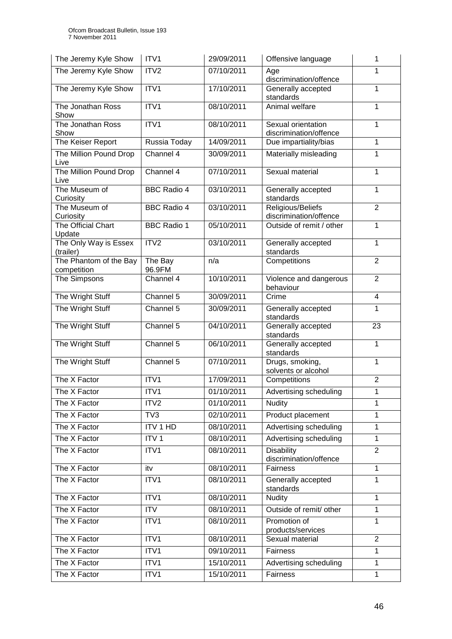| The Jeremy Kyle Show                  | ITV1               | 29/09/2011 | Offensive language                           | 1              |
|---------------------------------------|--------------------|------------|----------------------------------------------|----------------|
| The Jeremy Kyle Show                  | ITV <sub>2</sub>   | 07/10/2011 | Age<br>discrimination/offence                | 1              |
| The Jeremy Kyle Show                  | ITV1               | 17/10/2011 | Generally accepted<br>standards              | 1              |
| The Jonathan Ross<br>Show             | ITV1               | 08/10/2011 | Animal welfare                               | 1              |
| The Jonathan Ross<br>Show             | ITV1               | 08/10/2011 | Sexual orientation<br>discrimination/offence | 1              |
| The Keiser Report                     | Russia Today       | 14/09/2011 | Due impartiality/bias                        | 1              |
| The Million Pound Drop<br>Live        | Channel 4          | 30/09/2011 | Materially misleading                        | 1              |
| The Million Pound Drop<br>Live        | Channel 4          | 07/10/2011 | Sexual material                              | 1              |
| The Museum of<br>Curiosity            | <b>BBC Radio 4</b> | 03/10/2011 | Generally accepted<br>standards              | 1              |
| The Museum of<br>Curiosity            | <b>BBC Radio 4</b> | 03/10/2011 | Religious/Beliefs<br>discrimination/offence  | $\overline{2}$ |
| The Official Chart<br>Update          | <b>BBC Radio 1</b> | 05/10/2011 | Outside of remit / other                     | 1              |
| The Only Way is Essex<br>(trailer)    | ITV2               | 03/10/2011 | Generally accepted<br>standards              | $\mathbf{1}$   |
| The Phantom of the Bay<br>competition | The Bay<br>96.9FM  | n/a        | Competitions                                 | $\overline{2}$ |
| The Simpsons                          | Channel 4          | 10/10/2011 | Violence and dangerous<br>behaviour          | $\overline{2}$ |
| The Wright Stuff                      | Channel 5          | 30/09/2011 | Crime                                        | 4              |
| The Wright Stuff                      | Channel 5          | 30/09/2011 | Generally accepted<br>standards              | 1              |
| The Wright Stuff                      | Channel 5          | 04/10/2011 | Generally accepted<br>standards              | 23             |
| The Wright Stuff                      | Channel 5          | 06/10/2011 | Generally accepted<br>standards              | 1              |
| The Wright Stuff                      | Channel 5          | 07/10/2011 | Drugs, smoking,<br>solvents or alcohol       | $\overline{1}$ |
| The X Factor                          | ITV1               | 17/09/2011 | Competitions                                 | $\overline{2}$ |
| The X Factor                          | ITV1               | 01/10/2011 | Advertising scheduling                       | 1              |
| The X Factor                          | ITV <sub>2</sub>   | 01/10/2011 | <b>Nudity</b>                                | 1              |
| The X Factor                          | TV3                | 02/10/2011 | Product placement                            | 1              |
| The X Factor                          | <b>ITV 1 HD</b>    | 08/10/2011 | <b>Advertising scheduling</b>                | $\mathbf{1}$   |
| The X Factor                          | ITV <sub>1</sub>   | 08/10/2011 | Advertising scheduling                       | $\mathbf{1}$   |
| The X Factor                          | ITV1               | 08/10/2011 | <b>Disability</b><br>discrimination/offence  | $\overline{2}$ |
| The X Factor                          | itv                | 08/10/2011 | <b>Fairness</b>                              | $\mathbf{1}$   |
| The X Factor                          | ITV1               | 08/10/2011 | Generally accepted<br>standards              | 1              |
| The X Factor                          | ITV1               | 08/10/2011 | <b>Nudity</b>                                | $\mathbf{1}$   |
| The X Factor                          | <b>ITV</b>         | 08/10/2011 | Outside of remit/ other                      | $\mathbf{1}$   |
| The X Factor                          | ITV1               | 08/10/2011 | Promotion of<br>products/services            | $\mathbf{1}$   |
| The X Factor                          | ITV1               | 08/10/2011 | Sexual material                              | $\overline{2}$ |
| The X Factor                          | ITV1               | 09/10/2011 | Fairness                                     | $\mathbf{1}$   |
| The X Factor                          | ITV1               | 15/10/2011 | Advertising scheduling                       | $\mathbf{1}$   |
| The X Factor                          | ITV1               | 15/10/2011 | Fairness                                     | $\mathbf{1}$   |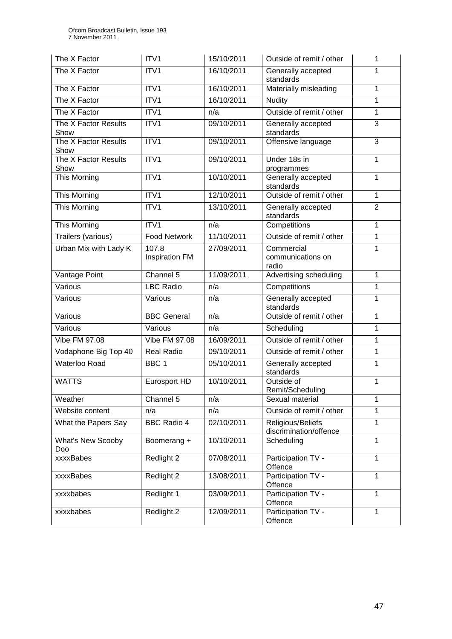| The X Factor                 | ITV1                           | 15/10/2011 | Outside of remit / other                         | 1              |
|------------------------------|--------------------------------|------------|--------------------------------------------------|----------------|
| The X Factor                 | ITV1                           | 16/10/2011 | Generally accepted<br>standards                  | 1              |
| The X Factor                 | ITV1                           | 16/10/2011 | Materially misleading                            | $\mathbf{1}$   |
| The X Factor                 | ITV1                           | 16/10/2011 | <b>Nudity</b>                                    | $\mathbf{1}$   |
| The X Factor                 | ITV1                           | n/a        | Outside of remit / other                         | $\mathbf{1}$   |
| The X Factor Results<br>Show | ITV1                           | 09/10/2011 | Generally accepted<br>3<br>standards             |                |
| The X Factor Results<br>Show | ITV1                           | 09/10/2011 | Offensive language                               | $\overline{3}$ |
| The X Factor Results<br>Show | ITV1                           | 09/10/2011 | Under 18s in<br>1<br>programmes                  |                |
| This Morning                 | ITV1                           | 10/10/2011 | Generally accepted<br>$\mathbf{1}$<br>standards  |                |
| This Morning                 | ITV1                           | 12/10/2011 | Outside of remit / other                         | $\mathbf{1}$   |
| This Morning                 | ITV1                           | 13/10/2011 | Generally accepted<br>standards                  | $\overline{2}$ |
| This Morning                 | ITV1                           | n/a        | Competitions                                     | 1              |
| Trailers (various)           | <b>Food Network</b>            | 11/10/2011 | Outside of remit / other                         | $\overline{1}$ |
| Urban Mix with Lady K        | 107.8<br><b>Inspiration FM</b> | 27/09/2011 | Commercial<br>communications on<br>radio         | 1              |
| Vantage Point                | Channel 5                      | 11/09/2011 | Advertising scheduling                           | $\mathbf{1}$   |
| Various                      | <b>LBC Radio</b>               | n/a        | Competitions                                     | $\mathbf{1}$   |
| Various                      | Various                        | n/a        | Generally accepted<br>standards                  |                |
| Various                      | <b>BBC</b> General             | n/a        | Outside of remit / other                         | $\overline{1}$ |
| Various                      | Various                        | n/a        | Scheduling                                       | 1              |
| Vibe FM 97.08                | Vibe FM 97.08                  | 16/09/2011 | Outside of remit / other<br>$\mathbf{1}$         |                |
| Vodaphone Big Top 40         | <b>Real Radio</b>              | 09/10/2011 | Outside of remit / other<br>$\mathbf{1}$         |                |
| <b>Waterloo Road</b>         | BBC <sub>1</sub>               | 05/10/2011 | 1<br>Generally accepted<br>standards             |                |
| <b>WATTS</b>                 | Eurosport HD                   | 10/10/2011 | Outside of<br>1<br>Remit/Scheduling              |                |
| Weather                      | Channel 5                      | n/a        | Sexual material<br>1                             |                |
| Website content              | n/a                            | n/a        | Outside of remit / other<br>$\mathbf{1}$         |                |
| What the Papers Say          | <b>BBC Radio 4</b>             | 02/10/2011 | Religious/Beliefs<br>1<br>discrimination/offence |                |
| What's New Scooby<br>Doo     | Boomerang +                    | 10/10/2011 | Scheduling                                       | $\mathbf{1}$   |
| xxxxBabes                    | Redlight 2                     | 07/08/2011 | Participation TV -<br>Offence                    | $\mathbf{1}$   |
| xxxxBabes                    | Redlight 2                     | 13/08/2011 | Participation TV -<br>$\mathbf{1}$<br>Offence    |                |
| xxxxbabes                    | Redlight 1                     | 03/09/2011 | Participation TV -<br>$\mathbf{1}$<br>Offence    |                |
| xxxxbabes                    | Redlight 2                     | 12/09/2011 | Participation TV -<br>Offence                    | 1              |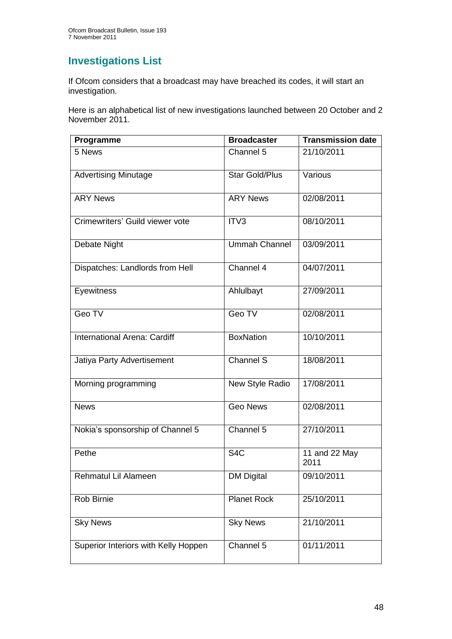## **Investigations List**

If Ofcom considers that a broadcast may have breached its codes, it will start an investigation.

Here is an alphabetical list of new investigations launched between 20 October and 2 November 2011.

| Programme                            | <b>Broadcaster</b>      | <b>Transmission date</b> |
|--------------------------------------|-------------------------|--------------------------|
| 5 News                               | Channel 5               | 21/10/2011               |
| <b>Advertising Minutage</b>          | <b>Star Gold/Plus</b>   | Various                  |
| <b>ARY News</b>                      | <b>ARY News</b>         | 02/08/2011               |
| Crimewriters' Guild viewer vote      | ITV3                    | 08/10/2011               |
| Debate Night                         | <b>Ummah Channel</b>    | 03/09/2011               |
| Dispatches: Landlords from Hell      | Channel 4               | 04/07/2011               |
| Eyewitness                           | Ahlulbayt               | 27/09/2011               |
| Geo TV                               | Geo TV                  | 02/08/2011               |
| International Arena: Cardiff         | <b>BoxNation</b>        | 10/10/2011               |
| Jatiya Party Advertisement           | Channel S               | 18/08/2011               |
| Morning programming                  | New Style Radio         | 17/08/2011               |
| <b>News</b>                          | <b>Geo News</b>         | 02/08/2011               |
| Nokia's sponsorship of Channel 5     | Channel 5               | 27/10/2011               |
| Pethe                                | $\overline{\text{S4C}}$ | 11 and 22 May<br>2011    |
| Rehmatul Lil Alameen                 | <b>DM Digital</b>       | 09/10/2011               |
| Rob Birnie                           | <b>Planet Rock</b>      | 25/10/2011               |
| <b>Sky News</b>                      | <b>Sky News</b>         | 21/10/2011               |
| Superior Interiors with Kelly Hoppen | Channel 5               | 01/11/2011               |